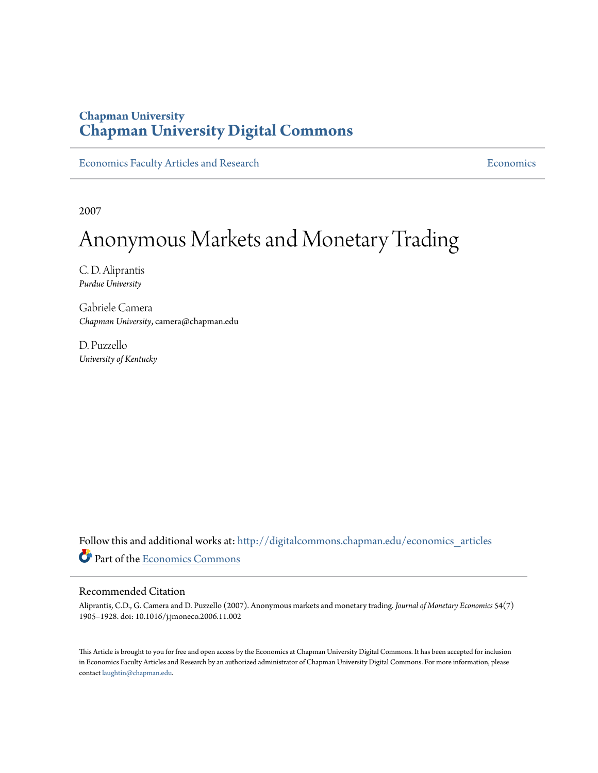## **Chapman University [Chapman University Digital Commons](http://digitalcommons.chapman.edu?utm_source=digitalcommons.chapman.edu%2Feconomics_articles%2F81&utm_medium=PDF&utm_campaign=PDFCoverPages)**

[Economics Faculty Articles and Research](http://digitalcommons.chapman.edu/economics_articles?utm_source=digitalcommons.chapman.edu%2Feconomics_articles%2F81&utm_medium=PDF&utm_campaign=PDFCoverPages) **[Economics](http://digitalcommons.chapman.edu/economics?utm_source=digitalcommons.chapman.edu%2Feconomics_articles%2F81&utm_medium=PDF&utm_campaign=PDFCoverPages)** Economics

2007

# Anonymous Markets and Monetary Trading

C. D. Aliprantis *Purdue University*

Gabriele Camera *Chapman University*, camera@chapman.edu

D. Puzzello *University of Kentucky*

Follow this and additional works at: [http://digitalcommons.chapman.edu/economics\\_articles](http://digitalcommons.chapman.edu/economics_articles?utm_source=digitalcommons.chapman.edu%2Feconomics_articles%2F81&utm_medium=PDF&utm_campaign=PDFCoverPages) Part of the [Economics Commons](http://network.bepress.com/hgg/discipline/340?utm_source=digitalcommons.chapman.edu%2Feconomics_articles%2F81&utm_medium=PDF&utm_campaign=PDFCoverPages)

#### Recommended Citation

Aliprantis, C.D., G. Camera and D. Puzzello (2007). Anonymous markets and monetary trading. *Journal of Monetary Economics* 54(7) 1905–1928. doi: 10.1016/j.jmoneco.2006.11.002

This Article is brought to you for free and open access by the Economics at Chapman University Digital Commons. It has been accepted for inclusion in Economics Faculty Articles and Research by an authorized administrator of Chapman University Digital Commons. For more information, please contact [laughtin@chapman.edu](mailto:laughtin@chapman.edu).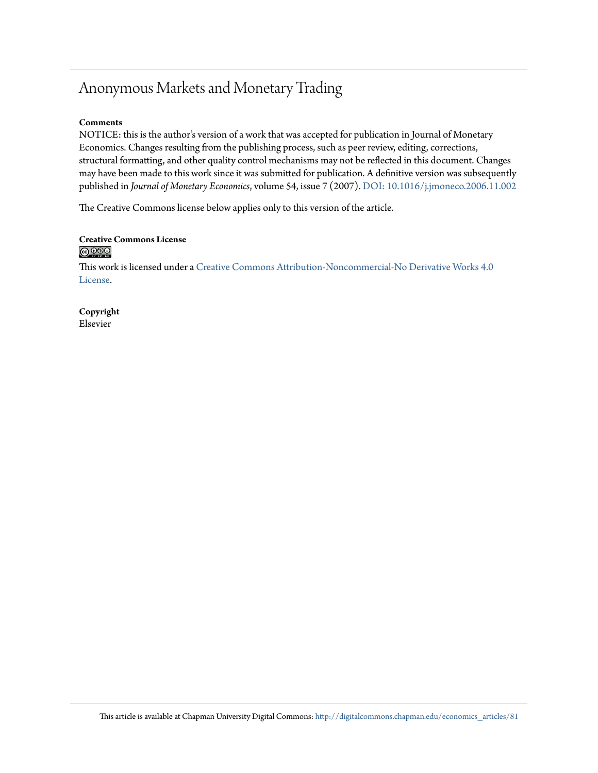## Anonymous Markets and Monetary Trading

#### **Comments**

NOTICE: this is the author's version of a work that was accepted for publication in Journal of Monetary Economics. Changes resulting from the publishing process, such as peer review, editing, corrections, structural formatting, and other quality control mechanisms may not be reflected in this document. Changes may have been made to this work since it was submitted for publication. A definitive version was subsequently published in *Journal of Monetary Economics*, volume 54, issue 7 (2007). [DOI: 10.1016/j.jmoneco.2006.11.002](http://dx.doi.org/10.1016/j.jmoneco.2006.11.002)

The Creative Commons license below applies only to this version of the article.

#### **Creative Commons License**  $\bigcirc$   $\circ$

This work is licensed under a [Creative Commons Attribution-Noncommercial-No Derivative Works 4.0](http://creativecommons.org/licenses/by-nc-nd/4.0/) [License.](http://creativecommons.org/licenses/by-nc-nd/4.0/)

**Copyright** Elsevier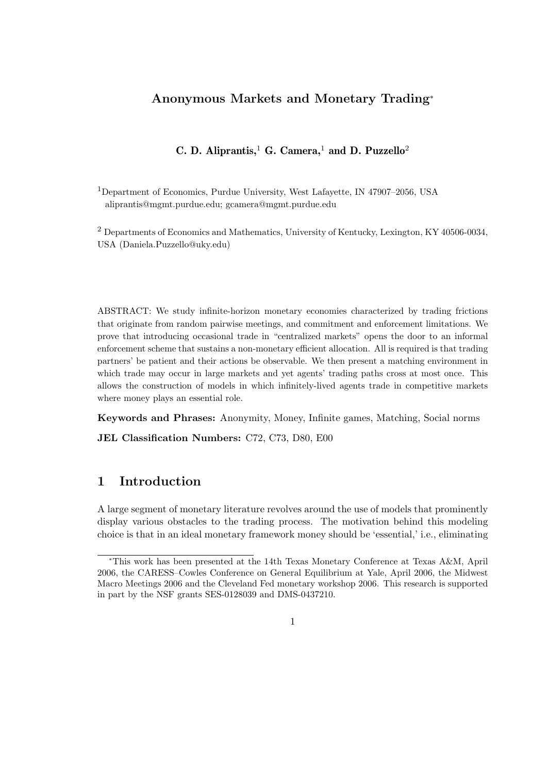## Anonymous Markets and Monetary Trading<sup>∗</sup>

## C. D. Aliprantis,<sup>1</sup> G. Camera,<sup>1</sup> and D. Puzzello<sup>2</sup>

<sup>1</sup>Department of Economics, Purdue University, West Lafayette, IN 47907–2056, USA aliprantis@mgmt.purdue.edu; gcamera@mgmt.purdue.edu

<sup>2</sup> Departments of Economics and Mathematics, University of Kentucky, Lexington, KY 40506-0034, USA (Daniela.Puzzello@uky.edu)

ABSTRACT: We study infinite-horizon monetary economies characterized by trading frictions that originate from random pairwise meetings, and commitment and enforcement limitations. We prove that introducing occasional trade in "centralized markets" opens the door to an informal enforcement scheme that sustains a non-monetary efficient allocation. All is required is that trading partners' be patient and their actions be observable. We then present a matching environment in which trade may occur in large markets and yet agents' trading paths cross at most once. This allows the construction of models in which infinitely-lived agents trade in competitive markets where money plays an essential role.

Keywords and Phrases: Anonymity, Money, Infinite games, Matching, Social norms

JEL Classification Numbers: C72, C73, D80, E00

## 1 Introduction

A large segment of monetary literature revolves around the use of models that prominently display various obstacles to the trading process. The motivation behind this modeling choice is that in an ideal monetary framework money should be 'essential,' i.e., eliminating

<sup>∗</sup>This work has been presented at the 14th Texas Monetary Conference at Texas A&M, April 2006, the CARESS–Cowles Conference on General Equilibrium at Yale, April 2006, the Midwest Macro Meetings 2006 and the Cleveland Fed monetary workshop 2006. This research is supported in part by the NSF grants SES-0128039 and DMS-0437210.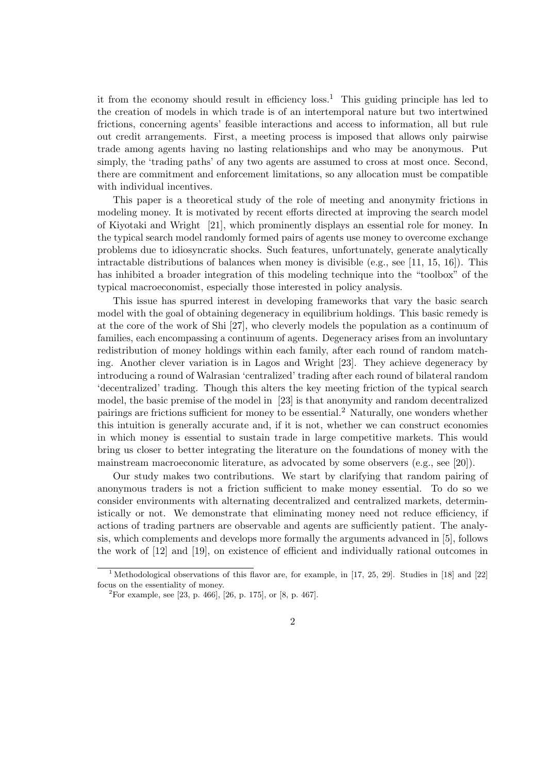it from the economy should result in efficiency  $loss<sup>1</sup>$ . This guiding principle has led to the creation of models in which trade is of an intertemporal nature but two intertwined frictions, concerning agents' feasible interactions and access to information, all but rule out credit arrangements. First, a meeting process is imposed that allows only pairwise trade among agents having no lasting relationships and who may be anonymous. Put simply, the 'trading paths' of any two agents are assumed to cross at most once. Second, there are commitment and enforcement limitations, so any allocation must be compatible with individual incentives.

This paper is a theoretical study of the role of meeting and anonymity frictions in modeling money. It is motivated by recent efforts directed at improving the search model of Kiyotaki and Wright [21], which prominently displays an essential role for money. In the typical search model randomly formed pairs of agents use money to overcome exchange problems due to idiosyncratic shocks. Such features, unfortunately, generate analytically intractable distributions of balances when money is divisible (e.g., see [11, 15, 16]). This has inhibited a broader integration of this modeling technique into the "toolbox" of the typical macroeconomist, especially those interested in policy analysis.

This issue has spurred interest in developing frameworks that vary the basic search model with the goal of obtaining degeneracy in equilibrium holdings. This basic remedy is at the core of the work of Shi [27], who cleverly models the population as a continuum of families, each encompassing a continuum of agents. Degeneracy arises from an involuntary redistribution of money holdings within each family, after each round of random matching. Another clever variation is in Lagos and Wright [23]. They achieve degeneracy by introducing a round of Walrasian 'centralized' trading after each round of bilateral random 'decentralized' trading. Though this alters the key meeting friction of the typical search model, the basic premise of the model in [23] is that anonymity and random decentralized pairings are frictions sufficient for money to be essential.<sup>2</sup> Naturally, one wonders whether this intuition is generally accurate and, if it is not, whether we can construct economies in which money is essential to sustain trade in large competitive markets. This would bring us closer to better integrating the literature on the foundations of money with the mainstream macroeconomic literature, as advocated by some observers (e.g., see [20]).

Our study makes two contributions. We start by clarifying that random pairing of anonymous traders is not a friction sufficient to make money essential. To do so we consider environments with alternating decentralized and centralized markets, deterministically or not. We demonstrate that eliminating money need not reduce efficiency, if actions of trading partners are observable and agents are sufficiently patient. The analysis, which complements and develops more formally the arguments advanced in [5], follows the work of [12] and [19], on existence of efficient and individually rational outcomes in

<sup>&</sup>lt;sup>1</sup> Methodological observations of this flavor are, for example, in [17, 25, 29]. Studies in [18] and [22] focus on the essentiality of money.

<sup>&</sup>lt;sup>2</sup>For example, see [23, p. 466], [26, p. 175], or [8, p. 467].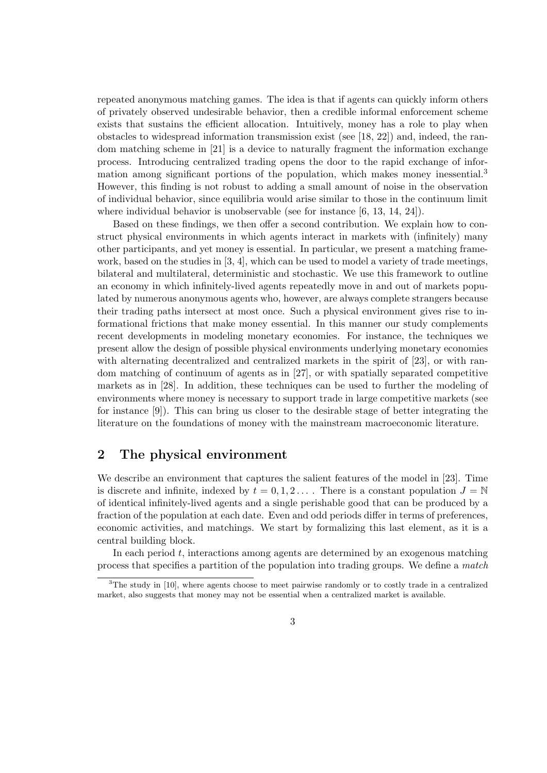repeated anonymous matching games. The idea is that if agents can quickly inform others of privately observed undesirable behavior, then a credible informal enforcement scheme exists that sustains the efficient allocation. Intuitively, money has a role to play when obstacles to widespread information transmission exist (see [18, 22]) and, indeed, the random matching scheme in [21] is a device to naturally fragment the information exchange process. Introducing centralized trading opens the door to the rapid exchange of information among significant portions of the population, which makes money inessential.<sup>3</sup> However, this finding is not robust to adding a small amount of noise in the observation of individual behavior, since equilibria would arise similar to those in the continuum limit where individual behavior is unobservable (see for instance [6, 13, 14, 24]).

Based on these findings, we then offer a second contribution. We explain how to construct physical environments in which agents interact in markets with (infinitely) many other participants, and yet money is essential. In particular, we present a matching framework, based on the studies in  $[3, 4]$ , which can be used to model a variety of trade meetings, bilateral and multilateral, deterministic and stochastic. We use this framework to outline an economy in which infinitely-lived agents repeatedly move in and out of markets populated by numerous anonymous agents who, however, are always complete strangers because their trading paths intersect at most once. Such a physical environment gives rise to informational frictions that make money essential. In this manner our study complements recent developments in modeling monetary economies. For instance, the techniques we present allow the design of possible physical environments underlying monetary economies with alternating decentralized and centralized markets in the spirit of [23], or with random matching of continuum of agents as in [27], or with spatially separated competitive markets as in [28]. In addition, these techniques can be used to further the modeling of environments where money is necessary to support trade in large competitive markets (see for instance [9]). This can bring us closer to the desirable stage of better integrating the literature on the foundations of money with the mainstream macroeconomic literature.

## 2 The physical environment

We describe an environment that captures the salient features of the model in [23]. Time is discrete and infinite, indexed by  $t = 0, 1, 2, \ldots$ . There is a constant population  $J = \mathbb{N}$ of identical infinitely-lived agents and a single perishable good that can be produced by a fraction of the population at each date. Even and odd periods differ in terms of preferences, economic activities, and matchings. We start by formalizing this last element, as it is a central building block.

In each period  $t$ , interactions among agents are determined by an exogenous matching process that specifies a partition of the population into trading groups. We define a match

 $3$ The study in [10], where agents choose to meet pairwise randomly or to costly trade in a centralized market, also suggests that money may not be essential when a centralized market is available.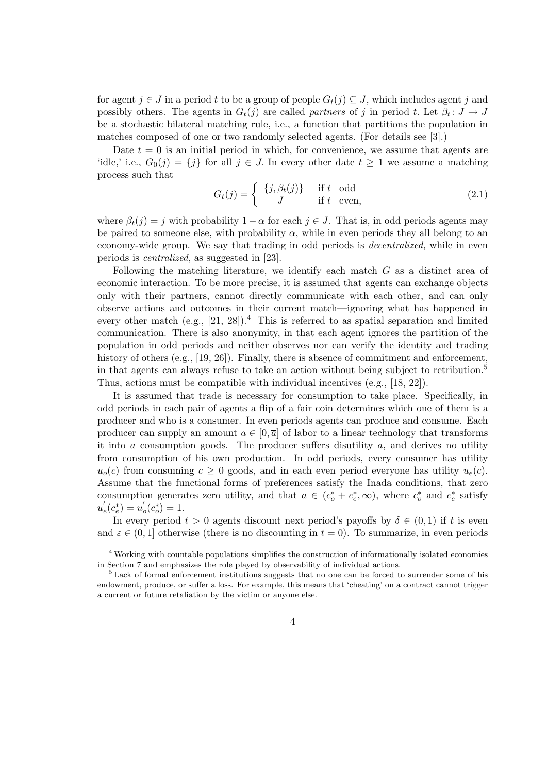for agent  $j \in J$  in a period t to be a group of people  $G_t(j) \subseteq J$ , which includes agent j and possibly others. The agents in  $G_t(j)$  are called partners of j in period t. Let  $\beta_t: J \to J$ be a stochastic bilateral matching rule, i.e., a function that partitions the population in matches composed of one or two randomly selected agents. (For details see [3].)

Date  $t = 0$  is an initial period in which, for convenience, we assume that agents are 'idle,' i.e.,  $G_0(j) = \{j\}$  for all  $j \in J$ . In every other date  $t \geq 1$  we assume a matching process such that

$$
G_t(j) = \begin{cases} \{j, \beta_t(j)\} & \text{if } t \text{ odd} \\ J & \text{if } t \text{ even,} \end{cases}
$$
 (2.1)

where  $\beta_t(j) = j$  with probability  $1 - \alpha$  for each  $j \in J$ . That is, in odd periods agents may be paired to someone else, with probability  $\alpha$ , while in even periods they all belong to an economy-wide group. We say that trading in odd periods is decentralized, while in even periods is centralized, as suggested in [23].

Following the matching literature, we identify each match  $G$  as a distinct area of economic interaction. To be more precise, it is assumed that agents can exchange objects only with their partners, cannot directly communicate with each other, and can only observe actions and outcomes in their current match—ignoring what has happened in every other match (e.g.,  $[21, 28]$ ).<sup>4</sup> This is referred to as spatial separation and limited communication. There is also anonymity, in that each agent ignores the partition of the population in odd periods and neither observes nor can verify the identity and trading history of others (e.g., [19, 26]). Finally, there is absence of commitment and enforcement, in that agents can always refuse to take an action without being subject to retribution.<sup>5</sup> Thus, actions must be compatible with individual incentives (e.g., [18, 22]).

It is assumed that trade is necessary for consumption to take place. Specifically, in odd periods in each pair of agents a flip of a fair coin determines which one of them is a producer and who is a consumer. In even periods agents can produce and consume. Each producer can supply an amount  $a \in [0, \bar{a}]$  of labor to a linear technology that transforms it into a consumption goods. The producer suffers disutility  $a$ , and derives no utility from consumption of his own production. In odd periods, every consumer has utility  $u_o(c)$  from consuming  $c \geq 0$  goods, and in each even period everyone has utility  $u_e(c)$ . Assume that the functional forms of preferences satisfy the Inada conditions, that zero consumption generates zero utility, and that  $\bar{a} \in (c_o^* + c_e^*, \infty)$ , where  $c_o^*$  and  $c_e^*$  satisfy  $u'_{e}(c_{e}^{*}) = u'_{o}(c_{o}^{*}) = 1.$ 

In every period  $t > 0$  agents discount next period's payoffs by  $\delta \in (0,1)$  if t is even and  $\varepsilon \in (0,1]$  otherwise (there is no discounting in  $t = 0$ ). To summarize, in even periods

<sup>4</sup> Working with countable populations simplifies the construction of informationally isolated economies in Section 7 and emphasizes the role played by observability of individual actions.

<sup>&</sup>lt;sup>5</sup> Lack of formal enforcement institutions suggests that no one can be forced to surrender some of his endowment, produce, or suffer a loss. For example, this means that 'cheating' on a contract cannot trigger a current or future retaliation by the victim or anyone else.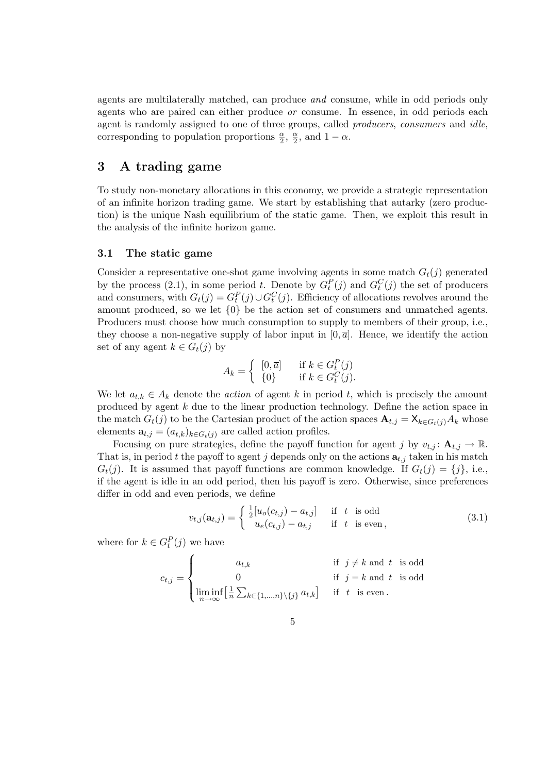agents are multilaterally matched, can produce and consume, while in odd periods only agents who are paired can either produce or consume. In essence, in odd periods each agent is randomly assigned to one of three groups, called *producers*, *consumers* and *idle*, corresponding to population proportions  $\frac{\alpha}{2}$ ,  $\frac{\alpha}{2}$  $\frac{\alpha}{2}$ , and  $1 - \alpha$ .

## 3 A trading game

To study non-monetary allocations in this economy, we provide a strategic representation of an infinite horizon trading game. We start by establishing that autarky (zero production) is the unique Nash equilibrium of the static game. Then, we exploit this result in the analysis of the infinite horizon game.

#### 3.1 The static game

Consider a representative one-shot game involving agents in some match  $G_t(j)$  generated by the process (2.1), in some period t. Denote by  $G_t^P(j)$  and  $G_t^C(j)$  the set of producers and consumers, with  $G_t(j) = G_t^P(j) \cup G_t^C(j)$ . Efficiency of allocations revolves around the amount produced, so we let {0} be the action set of consumers and unmatched agents. Producers must choose how much consumption to supply to members of their group, i.e., they choose a non-negative supply of labor input in  $[0, \bar{a}]$ . Hence, we identify the action set of any agent  $k \in G_t(j)$  by

$$
A_k = \begin{cases} [0, \overline{a}] & \text{if } k \in G_t^P(j) \\ \{0\} & \text{if } k \in G_t^C(j). \end{cases}
$$

We let  $a_{t,k} \in A_k$  denote the *action* of agent k in period t, which is precisely the amount produced by agent k due to the linear production technology. Define the action space in the match  $G_t(j)$  to be the Cartesian product of the action spaces  $\mathbf{A}_{t,j} = \mathsf{X}_{k \in G_t(j)} A_k$  whose elements  $\mathbf{a}_{t,j} = (a_{t,k})_{k \in G_t(j)}$  are called action profiles.

Focusing on pure strategies, define the payoff function for agent j by  $v_{t,j} : \mathbf{A}_{t,j} \to \mathbb{R}$ . That is, in period t the payoff to agent j depends only on the actions  $a_{t,j}$  taken in his match  $G_t(j)$ . It is assumed that payoff functions are common knowledge. If  $G_t(j) = \{j\}$ , i.e., if the agent is idle in an odd period, then his payoff is zero. Otherwise, since preferences differ in odd and even periods, we define

$$
v_{t,j}(\mathbf{a}_{t,j}) = \begin{cases} \frac{1}{2} [u_o(c_{t,j}) - a_{t,j}] & \text{if } t \text{ is odd} \\ u_e(c_{t,j}) - a_{t,j} & \text{if } t \text{ is even}, \end{cases}
$$
(3.1)

where for  $k \in G_t^P(j)$  we have

$$
c_{t,j} = \begin{cases} a_{t,k} & \text{if } j \neq k \text{ and } t \text{ is odd} \\ 0 & \text{if } j = k \text{ and } t \text{ is odd} \\ \liminf_{n \to \infty} \left[ \frac{1}{n} \sum_{k \in \{1, \dots, n\} \setminus \{j\}} a_{t,k} \right] & \text{if } t \text{ is even.} \end{cases}
$$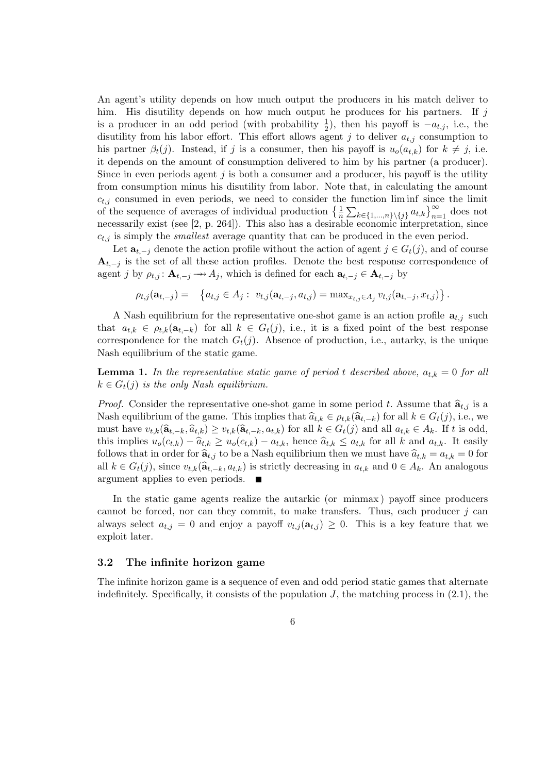An agent's utility depends on how much output the producers in his match deliver to him. His disutility depends on how much output he produces for his partners. If  $j$ is a producer in an odd period (with probability  $\frac{1}{2}$ ), then his payoff is  $-a_{t,j}$ , i.e., the disutility from his labor effort. This effort allows agent j to deliver  $a_{t,j}$  consumption to his partner  $\beta_t(j)$ . Instead, if j is a consumer, then his payoff is  $u_o(a_{t,k})$  for  $k \neq j$ , i.e. it depends on the amount of consumption delivered to him by his partner (a producer). Since in even periods agent  $j$  is both a consumer and a producer, his payoff is the utility from consumption minus his disutility from labor. Note that, in calculating the amount  $c_{t,j}$  consumed in even periods, we need to consider the function liminf since the limit of the sequence of averages of individual production  $\left\{\frac{1}{n}\sum_{k\in\{1,\ldots,n\}\setminus\{j\}}a_{t,k}\right\}_{n=1}^{\infty}$  does not necessarily exist (see [2, p. 264]). This also has a desirable economic interpretation, since  $c_{t,i}$  is simply the *smallest* average quantity that can be produced in the even period.

Let  $\mathbf{a}_{t,-j}$  denote the action profile without the action of agent  $j \in G_t(j)$ , and of course  $A_{t,-j}$  is the set of all these action profiles. Denote the best response correspondence of agent j by  $\rho_{t,j}$ :  $\mathbf{A}_{t,-j} \longrightarrow A_j$ , which is defined for each  $\mathbf{a}_{t,-j} \in \mathbf{A}_{t,-j}$  by

$$
\rho_{t,j}(\mathbf{a}_{t,-j}) = \left\{ a_{t,j} \in A_j : v_{t,j}(\mathbf{a}_{t,-j}, a_{t,j}) = \max_{x_{t,j} \in A_j} v_{t,j}(\mathbf{a}_{t,-j}, x_{t,j}) \right\}.
$$

A Nash equilibrium for the representative one-shot game is an action profile  $a_{t,i}$  such that  $a_{t,k} \in \rho_{t,k}(\mathbf{a}_{t-k})$  for all  $k \in G_t(j)$ , i.e., it is a fixed point of the best response correspondence for the match  $G_t(j)$ . Absence of production, i.e., autarky, is the unique Nash equilibrium of the static game.

**Lemma 1.** In the representative static game of period t described above,  $a_{t,k} = 0$  for all  $k \in G_t(j)$  is the only Nash equilibrium.

*Proof.* Consider the representative one-shot game in some period t. Assume that  $\hat{a}_{t,j}$  is a Nash equilibrium of the game. This implies that  $\hat{a}_{t,k} \in \rho_{t,k}(\hat{a}_{t,-k})$  for all  $k \in G_t(j)$ , i.e., we must have  $v_{t,k}(\hat{a}_{t-k}, \hat{a}_{t,k}) \geq v_{t,k}(\hat{a}_{t-k}, a_{t,k})$  for all  $k \in G_t(j)$  and all  $a_{t,k} \in A_k$ . If t is odd, this implies  $u_o(c_{t,k}) - \hat{a}_{t,k} \ge u_o(c_{t,k}) - a_{t,k}$ , hence  $\hat{a}_{t,k} \le a_{t,k}$  for all k and  $a_{t,k}$ . It easily follows that in order for  $\hat{a}_{t,j}$  to be a Nash equilibrium then we must have  $\hat{a}_{t,k} = a_{t,k} = 0$  for all  $k \in G_t(j)$ , since  $v_{t,k}(\hat{a}_{t-k}, a_{t,k})$  is strictly decreasing in  $a_{t,k}$  and  $0 \in A_k$ . An analogous argument applies to even periods.

In the static game agents realize the autarkic (or minmax ) payoff since producers cannot be forced, nor can they commit, to make transfers. Thus, each producer  $j$  can always select  $a_{t,j} = 0$  and enjoy a payoff  $v_{t,j}(\mathbf{a}_{t,j}) \geq 0$ . This is a key feature that we exploit later.

#### 3.2 The infinite horizon game

The infinite horizon game is a sequence of even and odd period static games that alternate indefinitely. Specifically, it consists of the population  $J$ , the matching process in  $(2.1)$ , the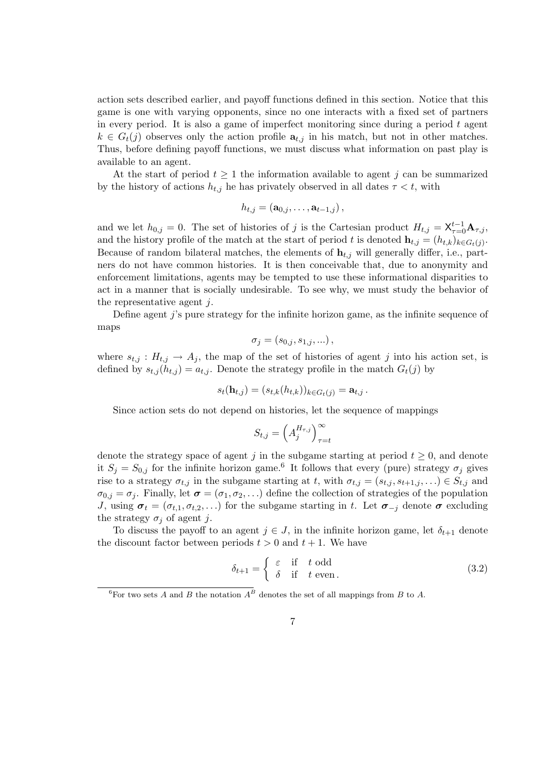action sets described earlier, and payoff functions defined in this section. Notice that this game is one with varying opponents, since no one interacts with a fixed set of partners in every period. It is also a game of imperfect monitoring since during a period t agent  $k \in G_t(j)$  observes only the action profile  $a_{t,j}$  in his match, but not in other matches. Thus, before defining payoff functions, we must discuss what information on past play is available to an agent.

At the start of period  $t \geq 1$  the information available to agent j can be summarized by the history of actions  $h_{t,j}$  he has privately observed in all dates  $\tau < t$ , with

$$
h_{t,j} = (\mathbf{a}_{0,j},\ldots,\mathbf{a}_{t-1,j}),
$$

and we let  $h_{0,j} = 0$ . The set of histories of j is the Cartesian product  $H_{t,j} = \mathsf{X}_{\tau=0}^{t-1} \mathbf{A}_{\tau,j}$ , and the history profile of the match at the start of period t is denoted  $\mathbf{h}_{t,j} = (h_{t,k})_{k \in G_t(j)}$ . Because of random bilateral matches, the elements of  $\mathbf{h}_{t,j}$  will generally differ, i.e., partners do not have common histories. It is then conceivable that, due to anonymity and enforcement limitations, agents may be tempted to use these informational disparities to act in a manner that is socially undesirable. To see why, we must study the behavior of the representative agent j.

Define agent j's pure strategy for the infinite horizon game, as the infinite sequence of maps

$$
\sigma_j = (s_{0,j}, s_{1,j}, \ldots),
$$

where  $s_{t,j} : H_{t,j} \to A_j$ , the map of the set of histories of agent j into his action set, is defined by  $s_{t,i}(h_{t,i}) = a_{t,i}$ . Denote the strategy profile in the match  $G_t(j)$  by

$$
s_t(\mathbf{h}_{t,j}) = (s_{t,k}(h_{t,k}))_{k \in G_t(j)} = \mathbf{a}_{t,j}.
$$

Since action sets do not depend on histories, let the sequence of mappings

$$
S_{t,j} = \left(A_j^{H_{\tau,j}}\right)_{\tau=t}^{\infty}
$$

denote the strategy space of agent j in the subgame starting at period  $t \geq 0$ , and denote it  $S_j = S_{0,j}$  for the infinite horizon game.<sup>6</sup> It follows that every (pure) strategy  $\sigma_j$  gives rise to a strategy  $\sigma_{t,j}$  in the subgame starting at t, with  $\sigma_{t,j} = (s_{t,j}, s_{t+1,j}, \ldots) \in S_{t,j}$  and  $\sigma_{0,j} = \sigma_j$ . Finally, let  $\sigma = (\sigma_1, \sigma_2, ...)$  define the collection of strategies of the population J, using  $\sigma_t = (\sigma_{t,1}, \sigma_{t,2}, ...)$  for the subgame starting in t. Let  $\sigma_{-i}$  denote  $\sigma$  excluding the strategy  $\sigma_i$  of agent j.

To discuss the payoff to an agent  $j \in J$ , in the infinite horizon game, let  $\delta_{t+1}$  denote the discount factor between periods  $t > 0$  and  $t + 1$ . We have

$$
\delta_{t+1} = \begin{cases} \varepsilon & \text{if } t \text{ odd} \\ \delta & \text{if } t \text{ even.} \end{cases}
$$
 (3.2)

<sup>&</sup>lt;sup>6</sup>For two sets A and B the notation  $A^B$  denotes the set of all mappings from B to A.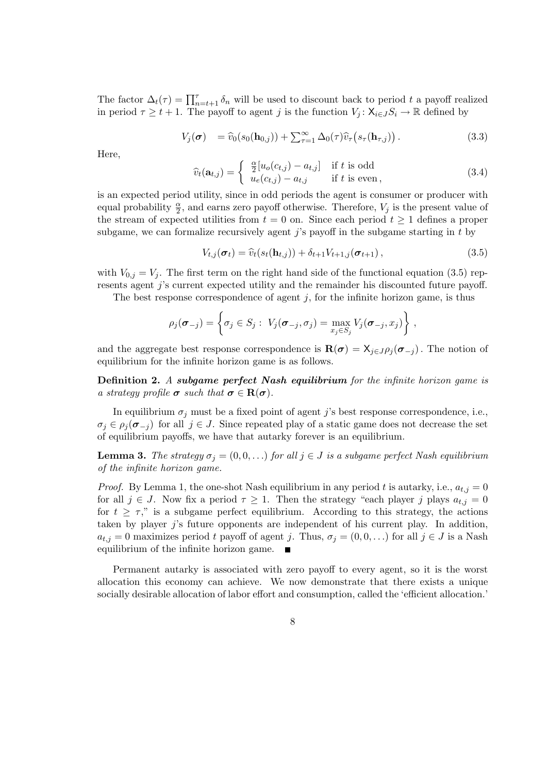The factor  $\Delta_t(\tau) = \prod_{n=t+1}^{\tau} \delta_n$  will be used to discount back to period t a payoff realized in period  $\tau \geq t + 1$ . The payoff to agent j is the function  $V_j: X_{i \in J} S_i \to \mathbb{R}$  defined by

$$
V_j(\boldsymbol{\sigma}) = \widehat{v}_0(s_0(\mathbf{h}_{0,j})) + \sum_{\tau=1}^{\infty} \Delta_0(\tau) \widehat{v}_\tau(s_\tau(\mathbf{h}_{\tau,j})). \tag{3.3}
$$

Here,

$$
\widehat{v}_t(\mathbf{a}_{t,j}) = \begin{cases}\n\frac{\alpha}{2} [u_o(c_{t,j}) - a_{t,j}] & \text{if } t \text{ is odd} \\
u_e(c_{t,j}) - a_{t,j} & \text{if } t \text{ is even}\n\end{cases}
$$
\n(3.4)

is an expected period utility, since in odd periods the agent is consumer or producer with equal probability  $\frac{\alpha}{2}$ , and earns zero payoff otherwise. Therefore,  $V_j$  is the present value of the stream of expected utilities from  $t = 0$  on. Since each period  $t \ge 1$  defines a proper subgame, we can formalize recursively agent  $j$ 's payoff in the subgame starting in t by

$$
V_{t,j}(\boldsymbol{\sigma}_t) = \widehat{v}_t(s_t(\mathbf{h}_{t,j})) + \delta_{t+1} V_{t+1,j}(\boldsymbol{\sigma}_{t+1}),
$$
\n(3.5)

with  $V_{0,j} = V_j$ . The first term on the right hand side of the functional equation (3.5) represents agent j's current expected utility and the remainder his discounted future payoff.

The best response correspondence of agent  $j$ , for the infinite horizon game, is thus

$$
\rho_j(\boldsymbol{\sigma}_{-j}) = \left\{ \sigma_j \in S_j : \ V_j(\boldsymbol{\sigma}_{-j}, \sigma_j) = \max_{x_j \in S_j} V_j(\boldsymbol{\sigma}_{-j}, x_j) \right\},\,
$$

and the aggregate best response correspondence is  $\mathbf{R}(\sigma) = \mathbf{X}_{j \in J} \rho_j(\sigma_{-j})$ . The notion of equilibrium for the infinite horizon game is as follows.

Definition 2. A subgame perfect Nash equilibrium for the infinite horizon game is a strategy profile  $\sigma$  such that  $\sigma \in \mathbf{R}(\sigma)$ .

In equilibrium  $\sigma_j$  must be a fixed point of agent j's best response correspondence, i.e.,  $\sigma_i \in \rho_i(\sigma_{-i})$  for all  $j \in J$ . Since repeated play of a static game does not decrease the set of equilibrium payoffs, we have that autarky forever is an equilibrium.

**Lemma 3.** The strategy  $\sigma_j = (0, 0, ...)$  for all  $j \in J$  is a subgame perfect Nash equilibrium of the infinite horizon game.

*Proof.* By Lemma 1, the one-shot Nash equilibrium in any period t is autarky, i.e.,  $a_{t,j} = 0$ for all  $j \in J$ . Now fix a period  $\tau \geq 1$ . Then the strategy "each player j plays  $a_{t,j} = 0$ for  $t > \tau$ ," is a subgame perfect equilibrium. According to this strategy, the actions taken by player j's future opponents are independent of his current play. In addition,  $a_{t,j} = 0$  maximizes period t payoff of agent j. Thus,  $\sigma_j = (0, 0, ...)$  for all  $j \in J$  is a Nash equilibrium of the infinite horizon game.

Permanent autarky is associated with zero payoff to every agent, so it is the worst allocation this economy can achieve. We now demonstrate that there exists a unique socially desirable allocation of labor effort and consumption, called the 'efficient allocation.'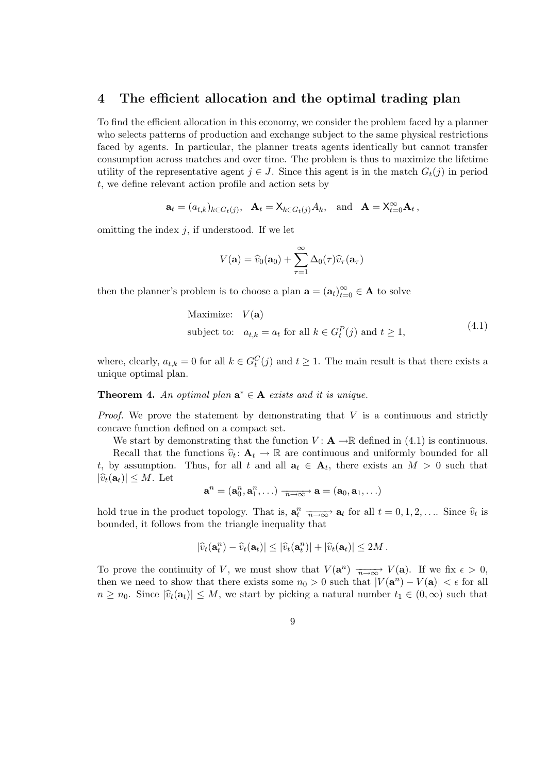### 4 The efficient allocation and the optimal trading plan

To find the efficient allocation in this economy, we consider the problem faced by a planner who selects patterns of production and exchange subject to the same physical restrictions faced by agents. In particular, the planner treats agents identically but cannot transfer consumption across matches and over time. The problem is thus to maximize the lifetime utility of the representative agent  $j \in J$ . Since this agent is in the match  $G_t(j)$  in period t, we define relevant action profile and action sets by

$$
\mathbf{a}_t = (a_{t,k})_{k \in G_t(j)}, \quad \mathbf{A}_t = \mathsf{X}_{k \in G_t(j)} A_k, \quad \text{and} \quad \mathbf{A} = \mathsf{X}_{t=0}^{\infty} \mathbf{A}_t,
$$

omitting the index  $j$ , if understood. If we let

$$
V(\mathbf{a}) = \widehat{v}_0(\mathbf{a}_0) + \sum_{\tau=1}^{\infty} \Delta_0(\tau) \widehat{v}_{\tau}(\mathbf{a}_{\tau})
$$

then the planner's problem is to choose a plan  $\mathbf{a} = (\mathbf{a}_t)_{t=0}^{\infty} \in \mathbf{A}$  to solve

Maximize: 
$$
V(\mathbf{a})
$$
  
subject to:  $a_{t,k} = a_t$  for all  $k \in G_t^P(j)$  and  $t \ge 1$ ,  $(4.1)$ 

where, clearly,  $a_{t,k} = 0$  for all  $k \in G_t^C(j)$  and  $t \geq 1$ . The main result is that there exists a unique optimal plan.

**Theorem 4.** An optimal plan  $\mathbf{a}^* \in \mathbf{A}$  exists and it is unique.

*Proof.* We prove the statement by demonstrating that  $V$  is a continuous and strictly concave function defined on a compact set.

We start by demonstrating that the function  $V: \mathbf{A} \to \mathbb{R}$  defined in (4.1) is continuous.

Recall that the functions  $\hat{v}_t: \mathbf{A}_t \to \mathbb{R}$  are continuous and uniformly bounded for all<br>we assumption. Thus, for all  $t$  and all  $\mathbf{a} \in \mathbf{A}$ , there exists an  $M > 0$  such that t, by assumption. Thus, for all t and all  $a_t \in A_t$ , there exists an  $M > 0$  such that  $|\widehat{v}_t(\mathbf{a}_t)| \leq M$ . Let

$$
\mathbf{a}^n = (\mathbf{a}^n_0, \mathbf{a}^n_1, \ldots) \xrightarrow[n \to \infty]{} \mathbf{a} = (\mathbf{a}_0, \mathbf{a}_1, \ldots)
$$

hold true in the product topology. That is,  $\mathbf{a}_t^n \xrightarrow[n \to \infty]{} \mathbf{a}_t$  for all  $t = 0, 1, 2, \ldots$  Since  $\hat{v}_t$  is bounded it follows from the triangle inequality that bounded, it follows from the triangle inequality that

$$
|\widehat{v}_t(\mathbf{a}_t^n)-\widehat{v}_t(\mathbf{a}_t)|\leq |\widehat{v}_t(\mathbf{a}_t^n)|+|\widehat{v}_t(\mathbf{a}_t)|\leq 2M.
$$

To prove the continuity of V, we must show that  $V(\mathbf{a}^n) \longrightarrow_{\infty} V(\mathbf{a})$ . If we fix  $\epsilon > 0$ , then we need to show that there exists some  $n_0 > 0$  such that  $|V(\mathbf{a}^n) - V(\mathbf{a})| < \epsilon$  for all  $n \geq n_0$ . Since  $|\hat{v}_t(\mathbf{a}_t)| \leq M$ , we start by picking a natural number  $t_1 \in (0,\infty)$  such that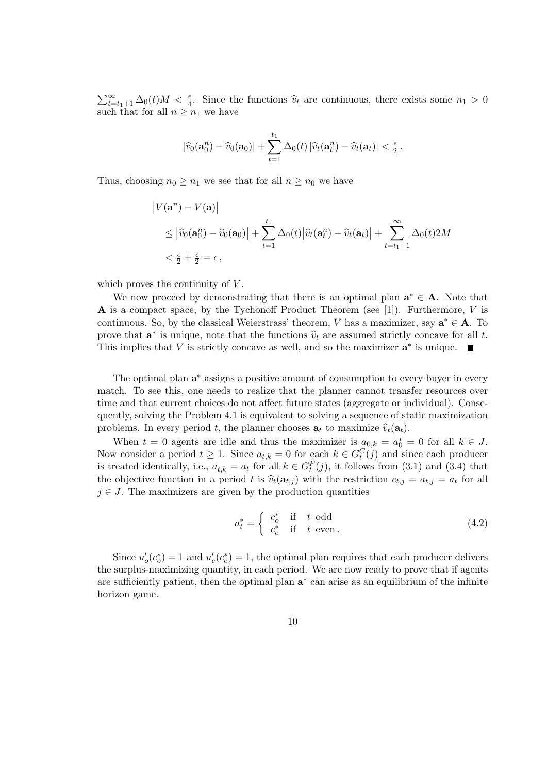$\sum_{t=t_1+1}^{\infty} \Delta_0(t)M < \frac{\epsilon}{4}$ . Since the functions  $\hat{v}_t$  are continuous, there exists some  $n_1 > 0$ such that for all  $n \geq n_1$  we have

$$
|\widehat{v}_0(\mathbf{a}_0^n)-\widehat{v}_0(\mathbf{a}_0)|+\sum_{t=1}^{t_1}\Delta_0(t)|\widehat{v}_t(\mathbf{a}_t^n)-\widehat{v}_t(\mathbf{a}_t)|<\frac{\epsilon}{2}\,.
$$

Thus, choosing  $n_0 \geq n_1$  we see that for all  $n \geq n_0$  we have

$$
\begin{aligned} \left| V(\mathbf{a}^n) - V(\mathbf{a}) \right| \\ &\leq \left| \widehat{v}_0(\mathbf{a}_0^n) - \widehat{v}_0(\mathbf{a}_0) \right| + \sum_{t=1}^{t_1} \Delta_0(t) \left| \widehat{v}_t(\mathbf{a}_t^n) - \widehat{v}_t(\mathbf{a}_t) \right| + \sum_{t=t_1+1}^{\infty} \Delta_0(t) 2M \\ &< \frac{\epsilon}{2} + \frac{\epsilon}{2} = \epsilon \,, \end{aligned}
$$

which proves the continuity of  $V$ .

We now proceed by demonstrating that there is an optimal plan  $a^* \in A$ . Note that **A** is a compact space, by the Tychonoff Product Theorem (see [1]). Furthermore,  $V$  is continuous. So, by the classical Weierstrass' theorem, V has a maximizer, say  $\mathbf{a}^* \in \mathbf{A}$ . To prove that  $\mathbf{a}^*$  is unique, note that the functions  $\hat{v}_t$  are assumed strictly concave for all t.<br>This implies that  $V$  is strictly concave as well, and so the maximizer  $\mathbf{a}^*$  is unique. This implies that  $V$  is strictly concave as well, and so the maximizer  $a^*$  is unique.

The optimal plan  $a^*$  assigns a positive amount of consumption to every buyer in every match. To see this, one needs to realize that the planner cannot transfer resources over time and that current choices do not affect future states (aggregate or individual). Consequently, solving the Problem 4.1 is equivalent to solving a sequence of static maximization problems. In every period t, the planner chooses  $\mathbf{a}_t$  to maximize  $\hat{v}_t(\mathbf{a}_t)$ .

When  $t = 0$  agents are idle and thus the maximizer is  $a_{0,k} = a_0^* = 0$  for all  $k \in J$ . Now consider a period  $t \geq 1$ . Since  $a_{t,k} = 0$  for each  $k \in G_t^C(j)$  and since each producer is treated identically, i.e.,  $a_{t,k} = a_t$  for all  $k \in G_t^P(j)$ , it follows from (3.1) and (3.4) that the objective function in a period t is  $\hat{v}_t(\mathbf{a}_{t,i})$  with the restriction  $c_{t,j} = a_{t,j} = a_t$  for all  $j \in J$ . The maximizers are given by the production quantities

$$
a_t^* = \begin{cases} c_o^* & \text{if } t \text{ odd} \\ c_e^* & \text{if } t \text{ even.} \end{cases}
$$
 (4.2)

Since  $u'_{o}(c_{o}^{*}) = 1$  and  $u'_{e}(c_{e}^{*}) = 1$ , the optimal plan requires that each producer delivers the surplus-maximizing quantity, in each period. We are now ready to prove that if agents are sufficiently patient, then the optimal plan  $a^*$  can arise as an equilibrium of the infinite horizon game.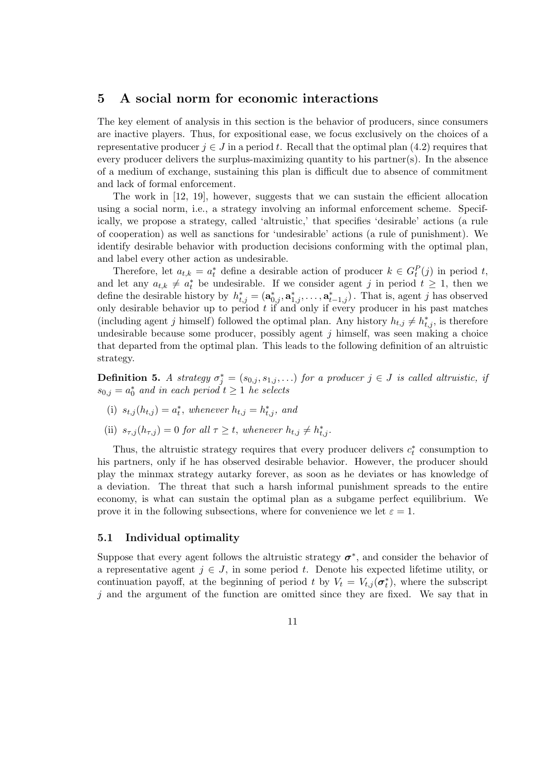## 5 A social norm for economic interactions

The key element of analysis in this section is the behavior of producers, since consumers are inactive players. Thus, for expositional ease, we focus exclusively on the choices of a representative producer  $j \in J$  in a period t. Recall that the optimal plan (4.2) requires that every producer delivers the surplus-maximizing quantity to his partner(s). In the absence of a medium of exchange, sustaining this plan is difficult due to absence of commitment and lack of formal enforcement.

The work in [12, 19], however, suggests that we can sustain the efficient allocation using a social norm, i.e., a strategy involving an informal enforcement scheme. Specifically, we propose a strategy, called 'altruistic,' that specifies 'desirable' actions (a rule of cooperation) as well as sanctions for 'undesirable' actions (a rule of punishment). We identify desirable behavior with production decisions conforming with the optimal plan, and label every other action as undesirable.

Therefore, let  $a_{t,k} = a_t^*$  define a desirable action of producer  $k \in G_t^P(j)$  in period t, and let any  $a_{t,k} \neq a_t^*$  be undesirable. If we consider agent j in period  $t \geq 1$ , then we define the desirable history by  $h_{t,j}^* = (\mathbf{a}_{0,j}^*, \mathbf{a}_{1,j}^*, \dots, \mathbf{a}_{t-1,j}^*)$ . That is, agent j has observed only desirable behavior up to period  $t$  if and only if every producer in his past matches (including agent j himself) followed the optimal plan. Any history  $h_{t,j} \neq h_{t,j}^*$ , is therefore undesirable because some producer, possibly agent  $j$  himself, was seen making a choice that departed from the optimal plan. This leads to the following definition of an altruistic strategy.

**Definition 5.** A strategy  $\sigma_j^* = (s_{0,j}, s_{1,j}, \ldots)$  for a producer  $j \in J$  is called altruistic, if  $s_{0,j} = a_0^*$  and in each period  $t \geq 1$  he selects

- (i)  $s_{t,j}(h_{t,j}) = a_t^*$ , whenever  $h_{t,j} = h_{t,j}^*$ , and
- (ii)  $s_{\tau,j}(h_{\tau,j}) = 0$  for all  $\tau \geq t$ , whenever  $h_{t,j} \neq h_{t,j}^*$ .

Thus, the altruistic strategy requires that every producer delivers  $c_t^*$  consumption to his partners, only if he has observed desirable behavior. However, the producer should play the minmax strategy autarky forever, as soon as he deviates or has knowledge of a deviation. The threat that such a harsh informal punishment spreads to the entire economy, is what can sustain the optimal plan as a subgame perfect equilibrium. We prove it in the following subsections, where for convenience we let  $\varepsilon = 1$ .

#### 5.1 Individual optimality

Suppose that every agent follows the altruistic strategy  $\sigma^*$ , and consider the behavior of a representative agent  $j \in J$ , in some period t. Denote his expected lifetime utility, or continuation payoff, at the beginning of period t by  $V_t = V_{t,j}(\sigma_t^*)$ , where the subscript  $j$  and the argument of the function are omitted since they are fixed. We say that in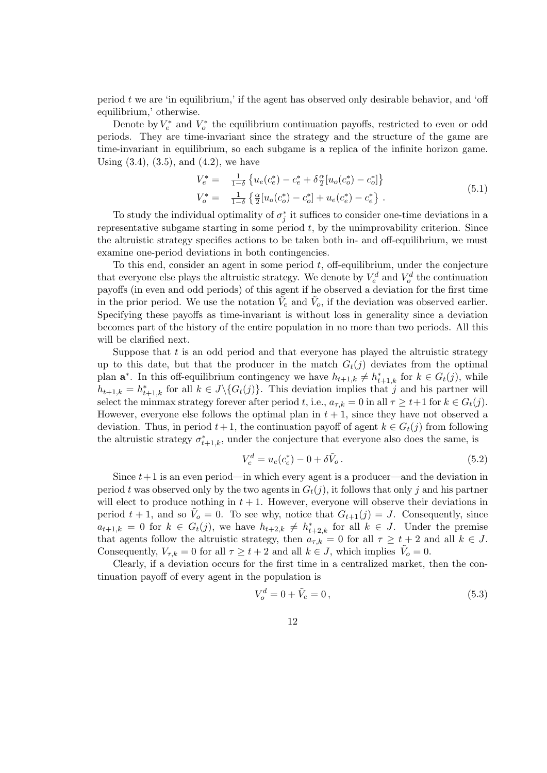period  $t$  we are 'in equilibrium,' if the agent has observed only desirable behavior, and 'off equilibrium,' otherwise.

Denote by  $V_e^*$  and  $V_o^*$  the equilibrium continuation payoffs, restricted to even or odd periods. They are time-invariant since the strategy and the structure of the game are time-invariant in equilibrium, so each subgame is a replica of the infinite horizon game. Using  $(3.4)$ ,  $(3.5)$ , and  $(4.2)$ , we have

$$
V_e^* = \frac{1}{1-\delta} \left\{ u_e(c_e^*) - c_e^* + \delta \frac{\alpha}{2} [u_o(c_o^*) - c_o^*] \right\}
$$
  
\n
$$
V_o^* = \frac{1}{1-\delta} \left\{ \frac{\alpha}{2} [u_o(c_o^*) - c_o^*] + u_e(c_e^*) - c_e^* \right\} .
$$
\n(5.1)

To study the individual optimality of  $\sigma_j^*$  it suffices to consider one-time deviations in a representative subgame starting in some period  $t$ , by the unimprovability criterion. Since the altruistic strategy specifies actions to be taken both in- and off-equilibrium, we must examine one-period deviations in both contingencies.

To this end, consider an agent in some period  $t$ , off-equilibrium, under the conjecture that everyone else plays the altruistic strategy. We denote by  $V_e^d$  and  $V_o^d$  the continuation payoffs (in even and odd periods) of this agent if he observed a deviation for the first time in the prior period. We use the notation  $\tilde{V}_e$  and  $\tilde{V}_o$ , if the deviation was observed earlier. Specifying these payoffs as time-invariant is without loss in generality since a deviation becomes part of the history of the entire population in no more than two periods. All this will be clarified next.

Suppose that  $t$  is an odd period and that everyone has played the altruistic strategy up to this date, but that the producer in the match  $G_t(j)$  deviates from the optimal plan  $\mathbf{a}^*$ . In this off-equilibrium contingency we have  $h_{t+1,k} \neq h_{t+1,k}^*$  for  $k \in G_t(j)$ , while  $h_{t+1,k} = h_{t+1,k}^*$  for all  $k \in J \setminus \{G_t(j)\}.$  This deviation implies that j and his partner will select the minmax strategy forever after period t, i.e.,  $a_{\tau,k} = 0$  in all  $\tau \geq t+1$  for  $k \in G_t(j)$ . However, everyone else follows the optimal plan in  $t + 1$ , since they have not observed a deviation. Thus, in period  $t + 1$ , the continuation payoff of agent  $k \in G_t(j)$  from following the altruistic strategy  $\sigma_{t+1,k}^*$ , under the conjecture that everyone also does the same, is

$$
V_e^d = u_e(c_e^*) - 0 + \delta \tilde{V}_o.
$$
\n(5.2)

Since  $t+1$  is an even period—in which every agent is a producer—and the deviation in period t was observed only by the two agents in  $G_t(j)$ , it follows that only j and his partner will elect to produce nothing in  $t + 1$ . However, everyone will observe their deviations in period  $t + 1$ , and so  $\tilde{V}_o = 0$ . To see why, notice that  $G_{t+1}(j) = J$ . Consequently, since  $a_{t+1,k} = 0$  for  $k \in G_t(j)$ , we have  $h_{t+2,k} \neq h_{t+2,k}^*$  for all  $k \in J$ . Under the premise that agents follow the altruistic strategy, then  $a_{\tau,k} = 0$  for all  $\tau \geq t+2$  and all  $k \in J$ . Consequently,  $V_{\tau,k} = 0$  for all  $\tau \geq t+2$  and all  $k \in J$ , which implies  $\tilde{V}_o = 0$ .

Clearly, if a deviation occurs for the first time in a centralized market, then the continuation payoff of every agent in the population is

$$
V_o^d = 0 + \tilde{V}_e = 0, \t\t(5.3)
$$

12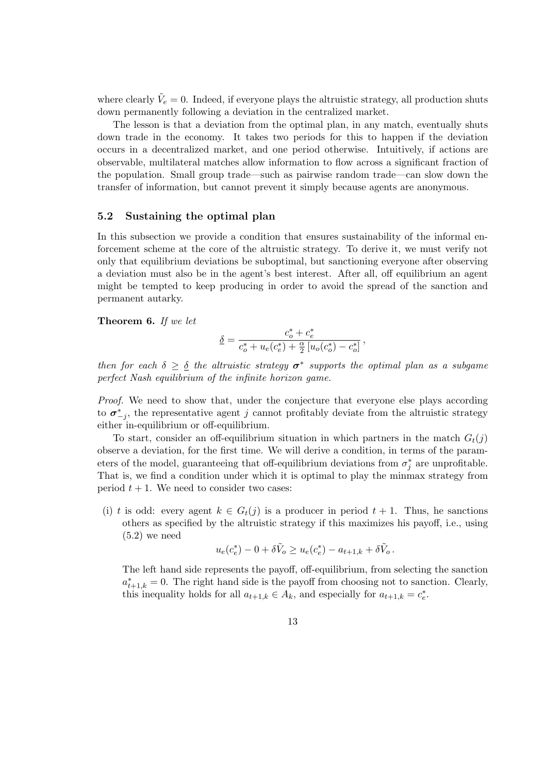where clearly  $\tilde{V}_e = 0$ . Indeed, if everyone plays the altruistic strategy, all production shuts down permanently following a deviation in the centralized market.

The lesson is that a deviation from the optimal plan, in any match, eventually shuts down trade in the economy. It takes two periods for this to happen if the deviation occurs in a decentralized market, and one period otherwise. Intuitively, if actions are observable, multilateral matches allow information to flow across a significant fraction of the population. Small group trade—such as pairwise random trade—can slow down the transfer of information, but cannot prevent it simply because agents are anonymous.

## 5.2 Sustaining the optimal plan

In this subsection we provide a condition that ensures sustainability of the informal enforcement scheme at the core of the altruistic strategy. To derive it, we must verify not only that equilibrium deviations be suboptimal, but sanctioning everyone after observing a deviation must also be in the agent's best interest. After all, off equilibrium an agent might be tempted to keep producing in order to avoid the spread of the sanction and permanent autarky.

Theorem 6. If we let

$$
\underline{\delta}=\frac{c_o^*+c_e^*}{c_o^*+u_e(c_e^*)+\frac{\alpha}{2}\left[u_o(c_o^*)-c_o^*\right]},
$$

then for each  $\delta \geq \delta$  the altruistic strategy  $\sigma^*$  supports the optimal plan as a subgame perfect Nash equilibrium of the infinite horizon game.

Proof. We need to show that, under the conjecture that everyone else plays according to  $\sigma_{-j}^*$ , the representative agent j cannot profitably deviate from the altruistic strategy either in-equilibrium or off-equilibrium.

To start, consider an off-equilibrium situation in which partners in the match  $G_t(j)$ observe a deviation, for the first time. We will derive a condition, in terms of the parameters of the model, guaranteeing that off-equilibrium deviations from  $\sigma_j^*$  are unprofitable. That is, we find a condition under which it is optimal to play the minmax strategy from period  $t + 1$ . We need to consider two cases:

(i) t is odd: every agent  $k \in G_t(j)$  is a producer in period  $t + 1$ . Thus, he sanctions others as specified by the altruistic strategy if this maximizes his payoff, i.e., using  $(5.2)$  we need

$$
u_e(c_e^*) - 0 + \delta \tilde{V}_o \ge u_e(c_e^*) - a_{t+1,k} + \delta \tilde{V}_o.
$$

The left hand side represents the payoff, off-equilibrium, from selecting the sanction  $a_{t+1,k}^* = 0$ . The right hand side is the payoff from choosing not to sanction. Clearly, this inequality holds for all  $a_{t+1,k} \in A_k$ , and especially for  $a_{t+1,k} = c_e^*$ .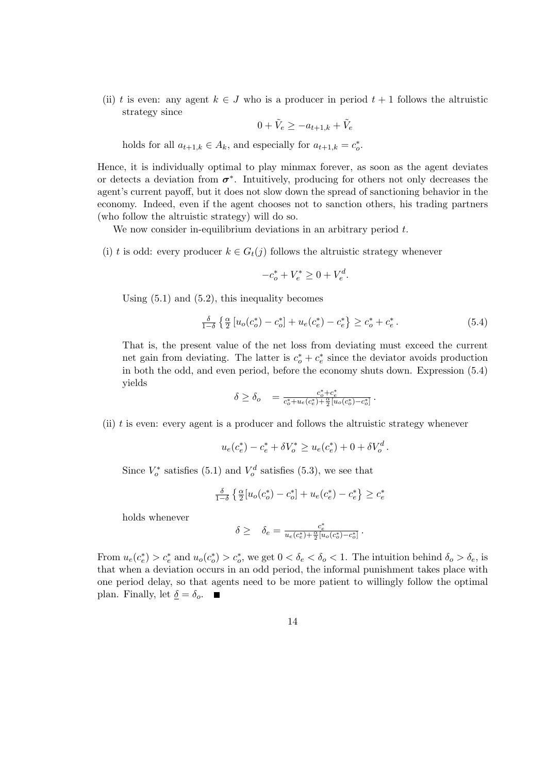(ii) t is even: any agent  $k \in J$  who is a producer in period  $t + 1$  follows the altruistic strategy since

$$
0+\tilde{V}_e\geq -a_{t+1,k}+\tilde{V}_e
$$

holds for all  $a_{t+1,k} \in A_k$ , and especially for  $a_{t+1,k} = c_o^*$ .

Hence, it is individually optimal to play minmax forever, as soon as the agent deviates or detects a deviation from  $\sigma^*$ . Intuitively, producing for others not only decreases the agent's current payoff, but it does not slow down the spread of sanctioning behavior in the economy. Indeed, even if the agent chooses not to sanction others, his trading partners (who follow the altruistic strategy) will do so.

We now consider in-equilibrium deviations in an arbitrary period  $t$ .

- (i) t is odd: every producer  $k \in G_t(j)$  follows the altruistic strategy whenever
	- $-c_o^* + V_e^* \geq 0 + V_e^d.$

Using  $(5.1)$  and  $(5.2)$ , this inequality becomes

$$
\frac{\delta}{1-\delta} \left\{ \frac{\alpha}{2} \left[ u_o(c_o^*) - c_o^* \right] + u_e(c_e^*) - c_e^* \right\} \ge c_o^* + c_e^* \,. \tag{5.4}
$$

That is, the present value of the net loss from deviating must exceed the current net gain from deviating. The latter is  $c_o^* + c_e^*$  since the deviator avoids production in both the odd, and even period, before the economy shuts down. Expression (5.4) yields

$$
\delta \geq \delta_o \quad = \tfrac{c_o^* + c_e^*}{c_o^* + u_e(c_e^*) + \frac{\alpha}{2} [u_o(c_o^*) - c_o^*]} \, .
$$

(ii)  $t$  is even: every agent is a producer and follows the altruistic strategy whenever

$$
u_e(c_e^*) - c_e^* + \delta V_o^* \ge u_e(c_e^*) + 0 + \delta V_o^d.
$$

Since  $V_o^*$  satisfies (5.1) and  $V_o^d$  satisfies (5.3), we see that

$$
\frac{\delta}{1-\delta} \left\{ \frac{\alpha}{2} \left[ u_o(c_o^*) - c_o^* \right] + u_e(c_e^*) - c_e^* \right\} \ge c_e^*
$$

holds whenever

$$
\delta \geq \quad \delta_e = \frac{c_e^*}{u_e(c_e^*) + \frac{\alpha}{2} [u_o(c_o^*) - c_o^*]}.
$$

From  $u_e(c_e^*) > c_e^*$  and  $u_o(c_o^*) > c_o^*$ , we get  $0 < \delta_e < \delta_o < 1$ . The intuition behind  $\delta_o > \delta_e$ , is that when a deviation occurs in an odd period, the informal punishment takes place with one period delay, so that agents need to be more patient to willingly follow the optimal plan. Finally, let  $\underline{\delta} = \delta_o$ .

14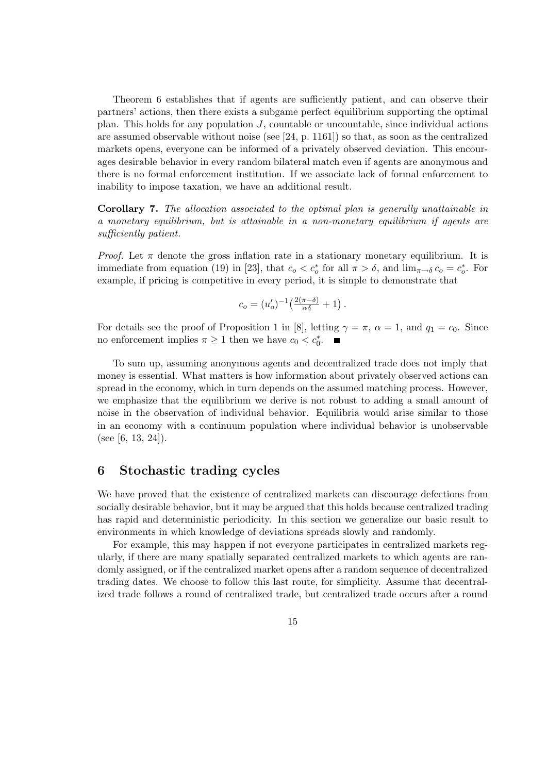Theorem 6 establishes that if agents are sufficiently patient, and can observe their partners' actions, then there exists a subgame perfect equilibrium supporting the optimal plan. This holds for any population  $J$ , countable or uncountable, since individual actions are assumed observable without noise (see [24, p. 1161]) so that, as soon as the centralized markets opens, everyone can be informed of a privately observed deviation. This encourages desirable behavior in every random bilateral match even if agents are anonymous and there is no formal enforcement institution. If we associate lack of formal enforcement to inability to impose taxation, we have an additional result.

Corollary 7. The allocation associated to the optimal plan is generally unattainable in a monetary equilibrium, but is attainable in a non-monetary equilibrium if agents are sufficiently patient.

*Proof.* Let  $\pi$  denote the gross inflation rate in a stationary monetary equilibrium. It is immediate from equation (19) in [23], that  $c_o < c_o^*$  for all  $\pi > \delta$ , and  $\lim_{\pi \to \delta} c_o = c_o^*$ . For example, if pricing is competitive in every period, it is simple to demonstrate that

$$
c_o = (u'_o)^{-1} \left( \frac{2(\pi - \delta)}{\alpha \delta} + 1 \right).
$$

For details see the proof of Proposition 1 in [8], letting  $\gamma = \pi$ ,  $\alpha = 1$ , and  $q_1 = c_0$ . Since no enforcement implies  $\pi \geq 1$  then we have  $c_0 < c_0^*$ .

To sum up, assuming anonymous agents and decentralized trade does not imply that money is essential. What matters is how information about privately observed actions can spread in the economy, which in turn depends on the assumed matching process. However, we emphasize that the equilibrium we derive is not robust to adding a small amount of noise in the observation of individual behavior. Equilibria would arise similar to those in an economy with a continuum population where individual behavior is unobservable (see [6, 13, 24]).

## 6 Stochastic trading cycles

We have proved that the existence of centralized markets can discourage defections from socially desirable behavior, but it may be argued that this holds because centralized trading has rapid and deterministic periodicity. In this section we generalize our basic result to environments in which knowledge of deviations spreads slowly and randomly.

For example, this may happen if not everyone participates in centralized markets regularly, if there are many spatially separated centralized markets to which agents are randomly assigned, or if the centralized market opens after a random sequence of decentralized trading dates. We choose to follow this last route, for simplicity. Assume that decentralized trade follows a round of centralized trade, but centralized trade occurs after a round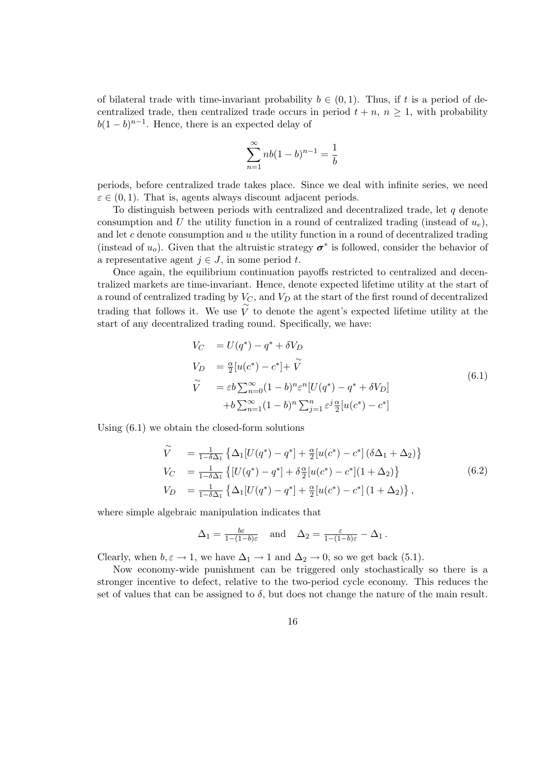of bilateral trade with time-invariant probability  $b \in (0,1)$ . Thus, if t is a period of decentralized trade, then centralized trade occurs in period  $t + n$ ,  $n \geq 1$ , with probability  $b(1-b)^{n-1}$ . Hence, there is an expected delay of

$$
\sum_{n=1}^{\infty} nb(1-b)^{n-1} = \frac{1}{b}
$$

periods, before centralized trade takes place. Since we deal with infinite series, we need  $\varepsilon \in (0,1)$ . That is, agents always discount adjacent periods.

To distinguish between periods with centralized and decentralized trade, let  $q$  denote consumption and U the utility function in a round of centralized trading (instead of  $u_e$ ), and let  $c$  denote consumption and  $u$  the utility function in a round of decentralized trading (instead of  $u_o$ ). Given that the altruistic strategy  $\sigma^*$  is followed, consider the behavior of a representative agent  $j \in J$ , in some period t.

Once again, the equilibrium continuation payoffs restricted to centralized and decentralized markets are time-invariant. Hence, denote expected lifetime utility at the start of a round of centralized trading by  $V_C$ , and  $V_D$  at the start of the first round of decentralized trading that follows it. We use  $\widetilde{V}$  to denote the agent's expected lifetime utility at the start of any decentralized trading round. Specifically, we have:

$$
V_C = U(q^*) - q^* + \delta V_D
$$
  
\n
$$
V_D = \frac{\alpha}{2} [u(c^*) - c^*] + \tilde{V}
$$
  
\n
$$
\tilde{V} = \varepsilon b \sum_{n=0}^{\infty} (1 - b)^n \varepsilon^n [U(q^*) - q^* + \delta V_D]
$$
  
\n
$$
+ b \sum_{n=1}^{\infty} (1 - b)^n \sum_{j=1}^n \varepsilon^j \frac{\alpha}{2} [u(c^*) - c^*]
$$
\n(6.1)

Using (6.1) we obtain the closed-form solutions

$$
\widetilde{V} = \frac{1}{1-\delta\Delta_1} \left\{ \Delta_1 [U(q^*) - q^*] + \frac{\alpha}{2} [u(c^*) - c^*] (\delta\Delta_1 + \Delta_2) \right\} \nV_C = \frac{1}{1-\delta\Delta_1} \left\{ [U(q^*) - q^*] + \delta \frac{\alpha}{2} [u(c^*) - c^*] (1 + \Delta_2) \right\} \nV_D = \frac{1}{1-\delta\Delta_1} \left\{ \Delta_1 [U(q^*) - q^*] + \frac{\alpha}{2} [u(c^*) - c^*] (1 + \Delta_2) \right\},
$$
\n(6.2)

where simple algebraic manipulation indicates that

$$
\Delta_1 = \frac{b\varepsilon}{1 - (1 - b)\varepsilon} \quad \text{and} \quad \Delta_2 = \frac{\varepsilon}{1 - (1 - b)\varepsilon} - \Delta_1 \,.
$$

Clearly, when  $b, \varepsilon \to 1$ , we have  $\Delta_1 \to 1$  and  $\Delta_2 \to 0$ , so we get back (5.1).

Now economy-wide punishment can be triggered only stochastically so there is a stronger incentive to defect, relative to the two-period cycle economy. This reduces the set of values that can be assigned to  $\delta$ , but does not change the nature of the main result.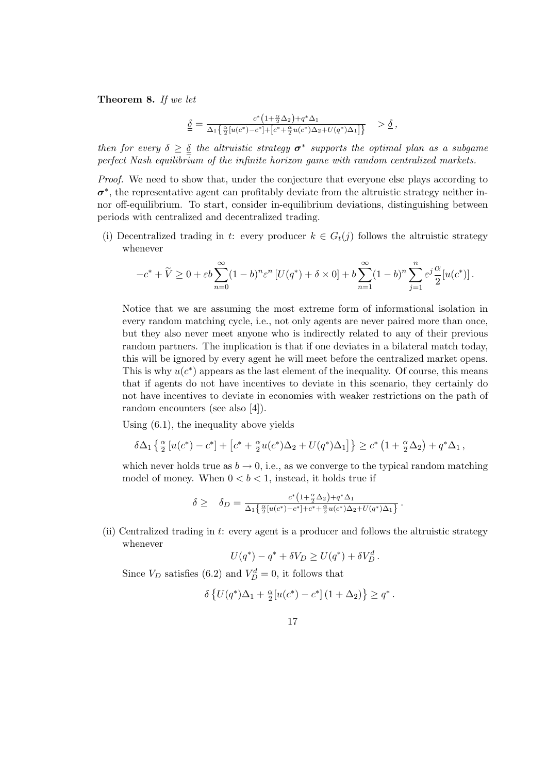Theorem 8. If we let

$$
\underline{\underline{\delta}} = \frac{c^*\big(1+\frac{\alpha}{2}\Delta_2\big)+q^*\Delta_1}{\Delta_1\big\{\frac{\alpha}{2}[u(c^*)-c^*]+[c^*+\frac{\alpha}{2}u(c^*)\Delta_2+U(q^*)\Delta_1]\big\}} \quad > \underline{\delta} \ ,
$$

then for every  $\delta \geq \delta$  the altruistic strategy  $\sigma^*$  supports the optimal plan as a subgame perfect Nash equilibrium of the infinite horizon game with random centralized markets.

Proof. We need to show that, under the conjecture that everyone else plays according to  $\sigma^*$ , the representative agent can profitably deviate from the altruistic strategy neither innor off-equilibrium. To start, consider in-equilibrium deviations, distinguishing between periods with centralized and decentralized trading.

(i) Decentralized trading in t: every producer  $k \in G_t(j)$  follows the altruistic strategy whenever

$$
-c^* + \widetilde{V} \ge 0 + \varepsilon b \sum_{n=0}^{\infty} (1-b)^n \varepsilon^n \left[ U(q^*) + \delta \times 0 \right] + b \sum_{n=1}^{\infty} (1-b)^n \sum_{j=1}^n \varepsilon^j \frac{\alpha}{2} [u(c^*)].
$$

Notice that we are assuming the most extreme form of informational isolation in every random matching cycle, i.e., not only agents are never paired more than once, but they also never meet anyone who is indirectly related to any of their previous random partners. The implication is that if one deviates in a bilateral match today, this will be ignored by every agent he will meet before the centralized market opens. This is why  $u(c^*)$  appears as the last element of the inequality. Of course, this means that if agents do not have incentives to deviate in this scenario, they certainly do not have incentives to deviate in economies with weaker restrictions on the path of random encounters (see also [4]).

Using (6.1), the inequality above yields

$$
\delta\Delta_1\left\{\tfrac{\alpha}{2}\left[u(c^*)-c^*\right]+\left[c^*+\tfrac{\alpha}{2}u(c^*)\Delta_2+U(q^*)\Delta_1\right]\right\}\geq c^*\left(1+\tfrac{\alpha}{2}\Delta_2\right)+q^*\Delta_1,
$$

which never holds true as  $b \to 0$ , i.e., as we converge to the typical random matching model of money. When  $0 < b < 1$ , instead, it holds true if

$$
\delta \geq \quad \delta_D = \frac{c^*(1+\frac{\alpha}{2}\Delta_2) + q^*\Delta_1}{\Delta_1 \left\{ \frac{\alpha}{2} [u(c^*) - c^*] + c^* + \frac{\alpha}{2} u(c^*)\Delta_2 + U(q^*)\Delta_1 \right\}}.
$$

(ii) Centralized trading in t: every agent is a producer and follows the altruistic strategy whenever

$$
U(q^*) - q^* + \delta V_D \ge U(q^*) + \delta V_D^d.
$$

Since  $V_D$  satisfies (6.2) and  $V_D^d = 0$ , it follows that

$$
\delta\left\{U(q^*)\Delta_1+\tfrac{\alpha}{2}[u(c^*)-c^*]\left(1+\Delta_2\right)\right\}\geq q^*\,.
$$

17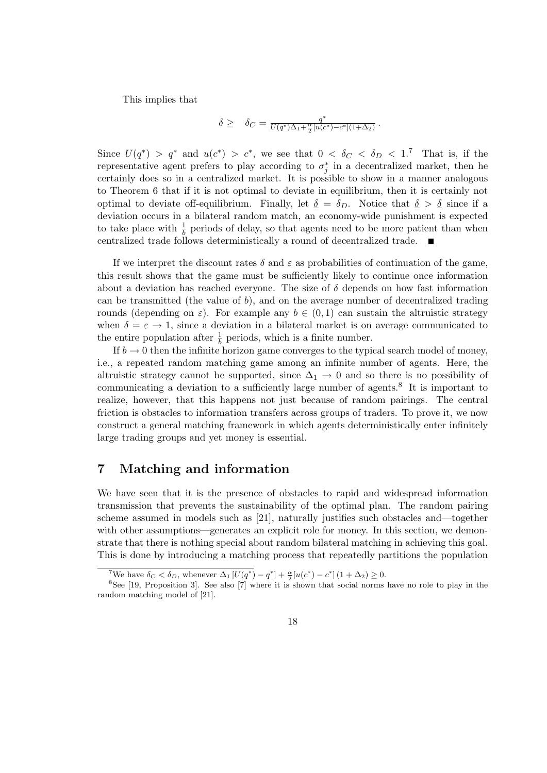This implies that

$$
\delta \geq \quad \delta_C = \frac{q^*}{U(q^*)\Delta_1 + \frac{\alpha}{2}[u(c^*) - c^*](1 + \Delta_2)} \, .
$$

Since  $U(q^*) > q^*$  and  $u(c^*) > c^*$ , we see that  $0 < \delta_C < \delta_D < 1$ .<sup>7</sup> That is, if the representative agent prefers to play according to  $\sigma_j^*$  in a decentralized market, then he certainly does so in a centralized market. It is possible to show in a manner analogous to Theorem 6 that if it is not optimal to deviate in equilibrium, then it is certainly not optimal to deviate off-equilibrium. Finally, let  $\delta = \delta_D$ . Notice that  $\delta > \delta$  since if a deviation occurs in a bilateral random match, an economy-wide punishment is expected to take place with  $\frac{1}{b}$  periods of delay, so that agents need to be more patient than when centralized trade follows deterministically a round of decentralized trade.

If we interpret the discount rates  $\delta$  and  $\varepsilon$  as probabilities of continuation of the game, this result shows that the game must be sufficiently likely to continue once information about a deviation has reached everyone. The size of  $\delta$  depends on how fast information can be transmitted (the value of b), and on the average number of decentralized trading rounds (depending on  $\varepsilon$ ). For example any  $b \in (0,1)$  can sustain the altruistic strategy when  $\delta = \varepsilon \to 1$ , since a deviation in a bilateral market is on average communicated to the entire population after  $\frac{1}{b}$  periods, which is a finite number.

If  $b \to 0$  then the infinite horizon game converges to the typical search model of money, i.e., a repeated random matching game among an infinite number of agents. Here, the altruistic strategy cannot be supported, since  $\Delta_1 \rightarrow 0$  and so there is no possibility of communicating a deviation to a sufficiently large number of agents.<sup>8</sup> It is important to realize, however, that this happens not just because of random pairings. The central friction is obstacles to information transfers across groups of traders. To prove it, we now construct a general matching framework in which agents deterministically enter infinitely large trading groups and yet money is essential.

## 7 Matching and information

We have seen that it is the presence of obstacles to rapid and widespread information transmission that prevents the sustainability of the optimal plan. The random pairing scheme assumed in models such as [21], naturally justifies such obstacles and—together with other assumptions—generates an explicit role for money. In this section, we demonstrate that there is nothing special about random bilateral matching in achieving this goal. This is done by introducing a matching process that repeatedly partitions the population

<sup>&</sup>lt;sup>7</sup>We have  $\delta_C < \delta_D$ , whenever  $\Delta_1 [U(q^*) - q^*] + \frac{\alpha}{2} [u(c^*) - c^*] (1 + \Delta_2) \ge 0$ .

<sup>8</sup>See [19, Proposition 3]. See also [7] where it is shown that social norms have no role to play in the random matching model of [21].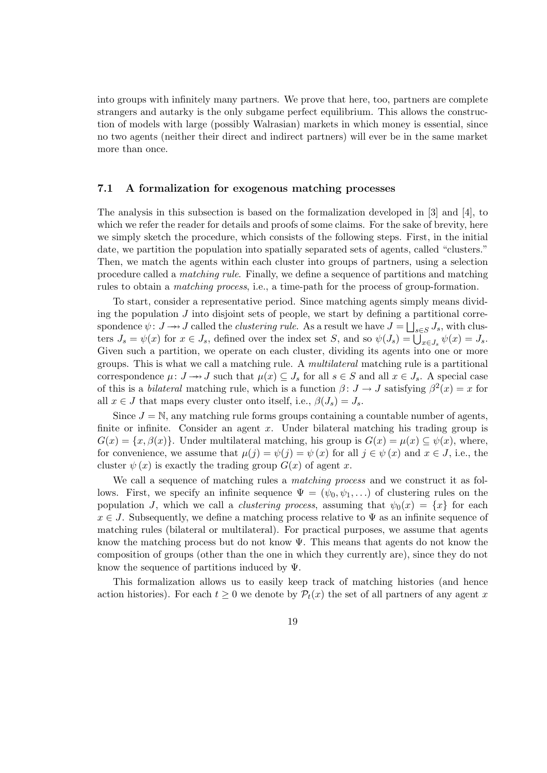into groups with infinitely many partners. We prove that here, too, partners are complete strangers and autarky is the only subgame perfect equilibrium. This allows the construction of models with large (possibly Walrasian) markets in which money is essential, since no two agents (neither their direct and indirect partners) will ever be in the same market more than once.

#### 7.1 A formalization for exogenous matching processes

The analysis in this subsection is based on the formalization developed in [3] and [4], to which we refer the reader for details and proofs of some claims. For the sake of brevity, here we simply sketch the procedure, which consists of the following steps. First, in the initial date, we partition the population into spatially separated sets of agents, called "clusters." Then, we match the agents within each cluster into groups of partners, using a selection procedure called a matching rule. Finally, we define a sequence of partitions and matching rules to obtain a matching process, i.e., a time-path for the process of group-formation.

To start, consider a representative period. Since matching agents simply means dividing the population  $J$  into disjoint sets of people, we start by defining a partitional correspondence  $\psi \colon J \longrightarrow J$  called the *clustering rule*. As a result we have  $J = \bigsqcup_{s \in S} J_s$ , with clusters  $J_s = \psi(x)$  for  $x \in J_s$ , defined over the index set S, and so  $\psi(J_s) = \bigcup_{x \in J_s} \psi(x) = J_s$ . Given such a partition, we operate on each cluster, dividing its agents into one or more groups. This is what we call a matching rule. A multilateral matching rule is a partitional correspondence  $\mu: J \to J$  such that  $\mu(x) \subseteq J_s$  for all  $s \in S$  and all  $x \in J_s$ . A special case of this is a *bilateral* matching rule, which is a function  $\beta: J \to J$  satisfying  $\beta^2(x) = x$  for all  $x \in J$  that maps every cluster onto itself, i.e.,  $\beta(J_s) = J_s$ .

Since  $J = N$ , any matching rule forms groups containing a countable number of agents, finite or infinite. Consider an agent x. Under bilateral matching his trading group is  $G(x) = \{x, \beta(x)\}\.$  Under multilateral matching, his group is  $G(x) = \mu(x) \subseteq \psi(x)$ , where, for convenience, we assume that  $\mu(j) = \psi(j) = \psi(x)$  for all  $j \in \psi(x)$  and  $x \in J$ , i.e., the cluster  $\psi(x)$  is exactly the trading group  $G(x)$  of agent x.

We call a sequence of matching rules a *matching process* and we construct it as follows. First, we specify an infinite sequence  $\Psi = (\psi_0, \psi_1, \ldots)$  of clustering rules on the population J, which we call a *clustering process*, assuming that  $\psi_0(x) = \{x\}$  for each  $x \in J$ . Subsequently, we define a matching process relative to  $\Psi$  as an infinite sequence of matching rules (bilateral or multilateral). For practical purposes, we assume that agents know the matching process but do not know  $\Psi$ . This means that agents do not know the composition of groups (other than the one in which they currently are), since they do not know the sequence of partitions induced by  $\Psi$ .

This formalization allows us to easily keep track of matching histories (and hence action histories). For each  $t \geq 0$  we denote by  $\mathcal{P}_t(x)$  the set of all partners of any agent x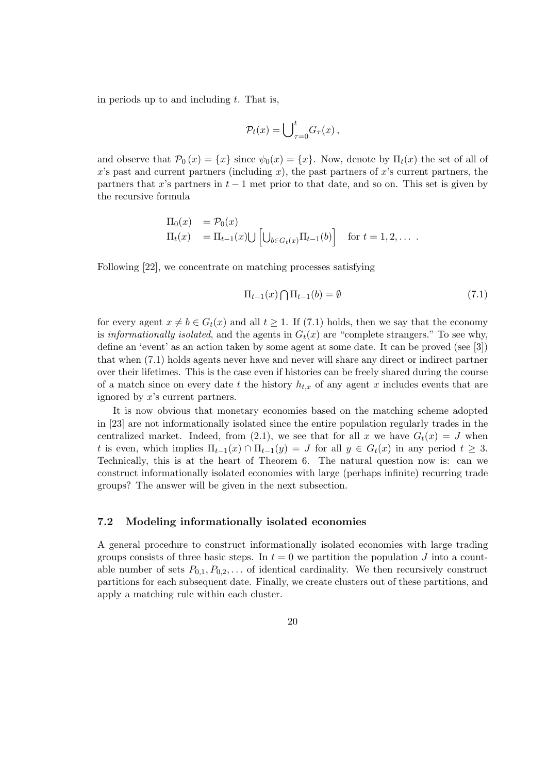in periods up to and including  $t$ . That is,

$$
\mathcal{P}_t(x) = \bigcup_{\tau=0}^t G_\tau(x)\,,
$$

and observe that  $\mathcal{P}_0(x) = \{x\}$  since  $\psi_0(x) = \{x\}$ . Now, denote by  $\Pi_t(x)$  the set of all of x's past and current partners (including x), the past partners of x's current partners, the partners that x's partners in  $t-1$  met prior to that date, and so on. This set is given by the recursive formula

$$
\Pi_0(x) = \mathcal{P}_0(x)
$$
  
\n
$$
\Pi_t(x) = \Pi_{t-1}(x) \cup \left[ \bigcup_{b \in G_t(x)} \Pi_{t-1}(b) \right] \text{ for } t = 1, 2, \dots
$$

Following [22], we concentrate on matching processes satisfying

$$
\Pi_{t-1}(x) \bigcap \Pi_{t-1}(b) = \emptyset \tag{7.1}
$$

for every agent  $x \neq b \in G_t(x)$  and all  $t \geq 1$ . If (7.1) holds, then we say that the economy is informationally isolated, and the agents in  $G_t(x)$  are "complete strangers." To see why, define an 'event' as an action taken by some agent at some date. It can be proved (see [3]) that when (7.1) holds agents never have and never will share any direct or indirect partner over their lifetimes. This is the case even if histories can be freely shared during the course of a match since on every date t the history  $h_{t,x}$  of any agent x includes events that are ignored by x's current partners.

It is now obvious that monetary economies based on the matching scheme adopted in [23] are not informationally isolated since the entire population regularly trades in the centralized market. Indeed, from (2.1), we see that for all x we have  $G_t(x) = J$  when t is even, which implies  $\Pi_{t-1}(x) \cap \Pi_{t-1}(y) = J$  for all  $y \in G_t(x)$  in any period  $t \geq 3$ . Technically, this is at the heart of Theorem 6. The natural question now is: can we construct informationally isolated economies with large (perhaps infinite) recurring trade groups? The answer will be given in the next subsection.

#### 7.2 Modeling informationally isolated economies

A general procedure to construct informationally isolated economies with large trading groups consists of three basic steps. In  $t = 0$  we partition the population J into a countable number of sets  $P_{0,1}, P_{0,2}, \ldots$  of identical cardinality. We then recursively construct partitions for each subsequent date. Finally, we create clusters out of these partitions, and apply a matching rule within each cluster.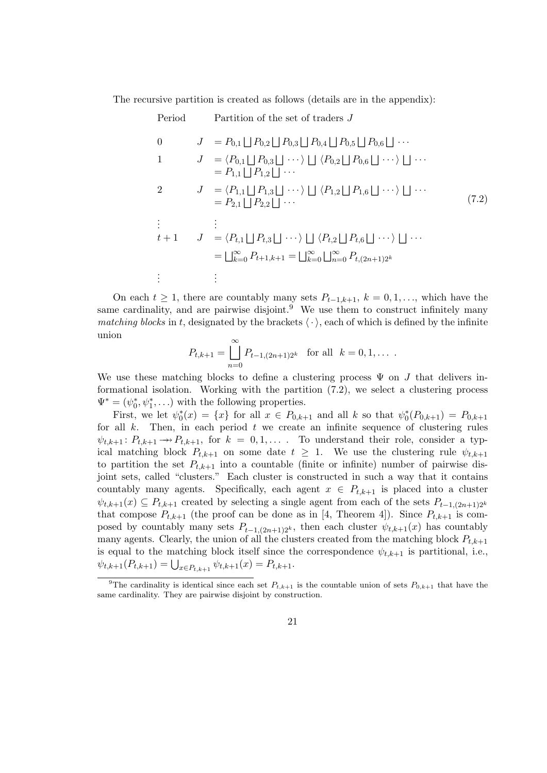The recursive partition is created as follows (details are in the appendix):

| Period   | Partition of the set of traders J                                                                                                                                                                                           |       |
|----------|-----------------------------------------------------------------------------------------------------------------------------------------------------------------------------------------------------------------------------|-------|
| $\Omega$ | $J = P_{0,1}   P_{0,2}   P_{0,3}   P_{0,4}   P_{0,5}   P_{0,6}   \cdots$                                                                                                                                                    |       |
| -1       | $J = \langle P_{0,1}   P_{0,3}   \cdots \rangle    \langle P_{0,2}   P_{0,6}   \cdots \rangle     \cdots$<br>$= P_{1,1}   P_{1,2}   \cdots$                                                                                 |       |
| 2        | $J = \langle P_{1,1} \sqcup P_{1,3} \sqcup \cdots \rangle \sqcup \langle P_{1,2} \sqcup P_{1,6} \sqcup \cdots \rangle \sqcup \cdots$<br>$= P_{2,1}     P_{2,2}     \cdots$                                                  | (7.2) |
|          | $t+1$ $J = \langle P_{t,1}   P_{t,3}   \cdots \rangle   \langle P_{t,2}   P_{t,6}   \cdots \rangle   \cdots$<br>$=\bigsqcup_{k=0}^{\infty} P_{t+1,k+1} = \bigsqcup_{k=0}^{\infty} \bigsqcup_{n=0}^{\infty} P_{t,(2n+1)2^k}$ |       |
|          |                                                                                                                                                                                                                             |       |

On each  $t \geq 1$ , there are countably many sets  $P_{t-1,k+1}$ ,  $k = 0, 1, \ldots$ , which have the same cardinality, and are pairwise disjoint.<sup>9</sup> We use them to construct infinitely many matching blocks in t, designated by the brackets  $\langle \cdot \rangle$ , each of which is defined by the infinite union

$$
P_{t,k+1} = \bigcup_{n=0}^{\infty} P_{t-1,(2n+1)2^k} \text{ for all } k = 0, 1, \dots
$$

We use these matching blocks to define a clustering process  $\Psi$  on J that delivers informational isolation. Working with the partition (7.2), we select a clustering process  $\Psi^* = (\psi_0^*, \psi_1^*, \ldots)$  with the following properties.

First, we let  $\psi_0^*(x) = \{x\}$  for all  $x \in P_{0,k+1}$  and all k so that  $\psi_0^*(P_{0,k+1}) = P_{0,k+1}$ for all  $k$ . Then, in each period  $t$  we create an infinite sequence of clustering rules  $\psi_{t,k+1}: P_{t,k+1} \to P_{t,k+1}$ , for  $k = 0,1,...$  To understand their role, consider a typical matching block  $P_{t,k+1}$  on some date  $t \geq 1$ . We use the clustering rule  $\psi_{t,k+1}$ to partition the set  $P_{t,k+1}$  into a countable (finite or infinite) number of pairwise disjoint sets, called "clusters." Each cluster is constructed in such a way that it contains countably many agents. Specifically, each agent  $x \in P_{t,k+1}$  is placed into a cluster  $\psi_{t,k+1}(x) \subseteq P_{t,k+1}$  created by selecting a single agent from each of the sets  $P_{t-1,(2n+1)2^k}$ that compose  $P_{t,k+1}$  (the proof can be done as in [4, Theorem 4]). Since  $P_{t,k+1}$  is composed by countably many sets  $P_{t-1,(2n+1)2^k}$ , then each cluster  $\psi_{t,k+1}(x)$  has countably many agents. Clearly, the union of all the clusters created from the matching block  $P_{t,k+1}$ is equal to the matching block itself since the correspondence  $\psi_{t,k+1}$  is partitional, i.e.,  $\psi_{t,k+1}(P_{t,k+1}) = \bigcup_{x \in P_{t,k+1}} \psi_{t,k+1}(x) = P_{t,k+1}.$ 

<sup>&</sup>lt;sup>9</sup>The cardinality is identical since each set  $P_{t,k+1}$  is the countable union of sets  $P_{0,k+1}$  that have the same cardinality. They are pairwise disjoint by construction.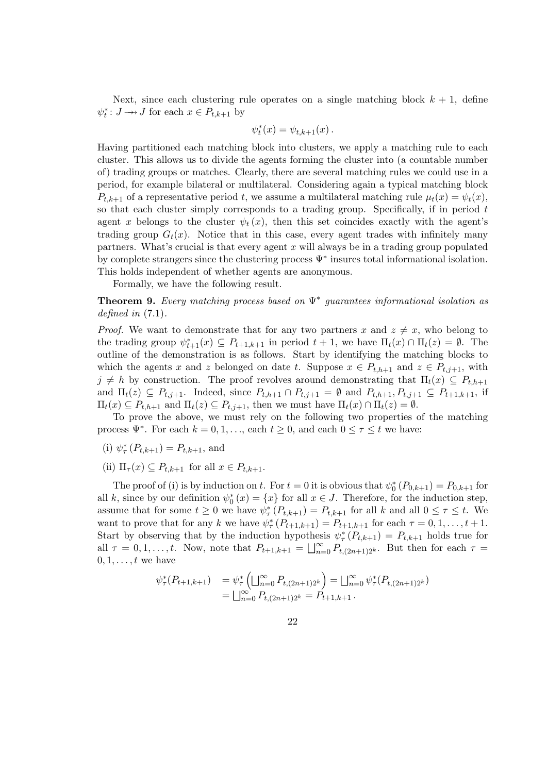Next, since each clustering rule operates on a single matching block  $k + 1$ , define  $\psi_t^* : J \to J$  for each  $x \in P_{t,k+1}$  by

$$
\psi_t^*(x) = \psi_{t,k+1}(x) \, .
$$

Having partitioned each matching block into clusters, we apply a matching rule to each cluster. This allows us to divide the agents forming the cluster into (a countable number of) trading groups or matches. Clearly, there are several matching rules we could use in a period, for example bilateral or multilateral. Considering again a typical matching block  $P_{t,k+1}$  of a representative period t, we assume a multilateral matching rule  $\mu_t(x) = \psi_t(x)$ , so that each cluster simply corresponds to a trading group. Specifically, if in period  $t$ agent x belongs to the cluster  $\psi_t(x)$ , then this set coincides exactly with the agent's trading group  $G_t(x)$ . Notice that in this case, every agent trades with infinitely many partners. What's crucial is that every agent x will always be in a trading group populated by complete strangers since the clustering process  $\Psi^*$  insures total informational isolation. This holds independent of whether agents are anonymous.

Formally, we have the following result.

**Theorem 9.** Every matching process based on  $\Psi^*$  guarantees informational isolation as defined in  $(7.1)$ .

*Proof.* We want to demonstrate that for any two partners x and  $z \neq x$ , who belong to the trading group  $\psi_{t+1}^*(x) \subseteq P_{t+1,k+1}$  in period  $t+1$ , we have  $\Pi_t(x) \cap \Pi_t(z) = \emptyset$ . The outline of the demonstration is as follows. Start by identifying the matching blocks to which the agents x and z belonged on date t. Suppose  $x \in P_{t,h+1}$  and  $z \in P_{t,j+1}$ , with  $j \neq h$  by construction. The proof revolves around demonstrating that  $\Pi_t(x) \subseteq P_{t,h+1}$ and  $\Pi_t(z) \subseteq P_{t,j+1}$ . Indeed, since  $P_{t,h+1} \cap P_{t,j+1} = \emptyset$  and  $P_{t,h+1}, P_{t,j+1} \subseteq P_{t+1,k+1}$ , if  $\Pi_t(x) \subseteq P_{t,h+1}$  and  $\Pi_t(z) \subseteq P_{t,j+1}$ , then we must have  $\Pi_t(x) \cap \Pi_t(z) = \emptyset$ .

To prove the above, we must rely on the following two properties of the matching process  $\Psi^*$ . For each  $k = 0, 1, \ldots$ , each  $t \geq 0$ , and each  $0 \leq \tau \leq t$  we have:

- (i)  $\psi_{\tau}^*(P_{t,k+1}) = P_{t,k+1}$ , and
- (ii)  $\Pi_{\tau}(x) \subseteq P_{t,k+1}$  for all  $x \in P_{t,k+1}$ .

The proof of (i) is by induction on t. For  $t = 0$  it is obvious that  $\psi_0^* (P_{0,k+1}) = P_{0,k+1}$  for all k, since by our definition  $\psi_0^*(x) = \{x\}$  for all  $x \in J$ . Therefore, for the induction step, assume that for some  $t \geq 0$  we have  $\psi_{\tau}^{*}(P_{t,k+1}) = P_{t,k+1}$  for all k and all  $0 \leq \tau \leq t$ . We want to prove that for any k we have  $\psi^*_{\tau}(P_{t+1,k+1}) = P_{t+1,k+1}$  for each  $\tau = 0, 1, \ldots, t+1$ . Start by observing that by the induction hypothesis  $\psi^*_{\tau}(P_{t,k+1}) = P_{t,k+1}$  holds true for all  $\tau = 0, 1, \ldots, t$ . Now, note that  $P_{t+1,k+1} = \bigsqcup_{n=0}^{\infty} P_{t,(2n+1)2^k}$ . But then for each  $\tau =$  $0, 1, \ldots, t$  we have

$$
\psi_{\tau}^*(P_{t+1,k+1}) = \psi_{\tau}^*\left(\bigsqcup_{n=0}^{\infty} P_{t,(2n+1)2^k}\right) = \bigsqcup_{n=0}^{\infty} \psi_{\tau}^*(P_{t,(2n+1)2^k})
$$
  
= 
$$
\bigsqcup_{n=0}^{\infty} P_{t,(2n+1)2^k} = P_{t+1,k+1}.
$$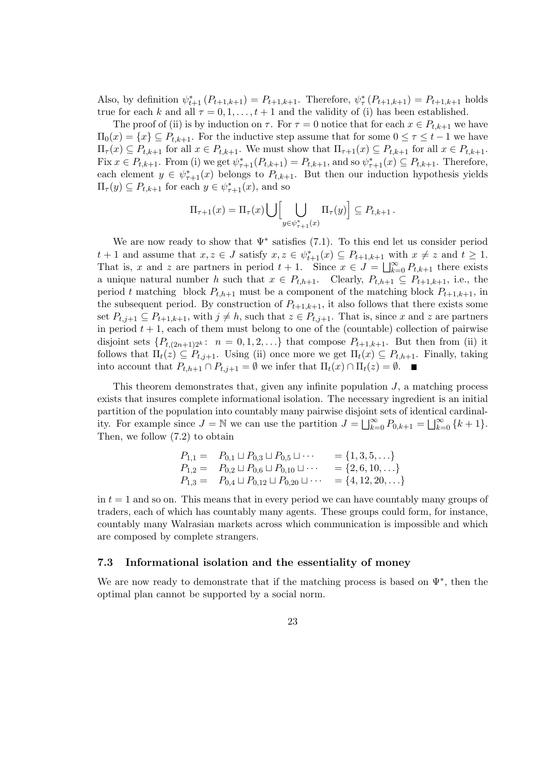Also, by definition  $\psi_{t+1}^* (P_{t+1,k+1}) = P_{t+1,k+1}$ . Therefore,  $\psi_{\tau}^* (P_{t+1,k+1}) = P_{t+1,k+1}$  holds true for each k and all  $\tau = 0, 1, \ldots, t + 1$  and the validity of (i) has been established.

The proof of (ii) is by induction on  $\tau$ . For  $\tau = 0$  notice that for each  $x \in P_{t,k+1}$  we have  $\Pi_0(x) = \{x\} \subseteq P_{t,k+1}$ . For the inductive step assume that for some  $0 \leq \tau \leq t-1$  we have  $\Pi_{\tau}(x) \subseteq P_{t,k+1}$  for all  $x \in P_{t,k+1}$ . We must show that  $\Pi_{\tau+1}(x) \subseteq P_{t,k+1}$  for all  $x \in P_{t,k+1}$ . Fix  $x \in P_{t,k+1}$ . From (i) we get  $\psi_{\tau+1}^*(P_{t,k+1}) = P_{t,k+1}$ , and so  $\psi_{\tau+1}^*(x) \subseteq P_{t,k+1}$ . Therefore, each element  $y \in \psi^*_{\tau+1}(x)$  belongs to  $P_{t,k+1}$ . But then our induction hypothesis yields  $\Pi_{\tau}(y) \subseteq P_{t,k+1}$  for each  $y \in \psi_{\tau+1}^*(x)$ , and so

$$
\Pi_{\tau+1}(x) = \Pi_{\tau}(x) \bigcup \left[ \bigcup_{y \in \psi_{\tau+1}^*(x)} \Pi_{\tau}(y) \right] \subseteq P_{t,k+1}.
$$

We are now ready to show that  $\Psi^*$  satisfies (7.1). To this end let us consider period  $t+1$  and assume that  $x, z \in J$  satisfy  $x, z \in \psi^*_{t+1}(x) \subseteq P_{t+1,k+1}$  with  $x \neq z$  and  $t \geq 1$ . That is, x and z are partners in period  $t + 1$ . Since  $x \in J = \bigsqcup_{k=0}^{\infty} P_{t,k+1}$  there exists a unique natural number h such that  $x \in P_{t,h+1}$ . Clearly,  $P_{t,h+1} \subseteq P_{t+1,k+1}$ , i.e., the period t matching block  $P_{t,h+1}$  must be a component of the matching block  $P_{t+1,k+1}$ , in the subsequent period. By construction of  $P_{t+1,k+1}$ , it also follows that there exists some set  $P_{t,j+1} \subseteq P_{t+1,k+1}$ , with  $j \neq h$ , such that  $z \in P_{t,j+1}$ . That is, since x and z are partners in period  $t + 1$ , each of them must belong to one of the (countable) collection of pairwise disjoint sets  $\{P_{t,(2n+1)2^k}$ :  $n = 0,1,2,...\}$  that compose  $P_{t+1,k+1}$ . But then from (ii) it follows that  $\Pi_t(z) \subseteq P_{t,j+1}$ . Using (ii) once more we get  $\Pi_t(x) \subseteq P_{t,h+1}$ . Finally, taking into account that  $P_{t,h+1} \cap P_{t,j+1} = \emptyset$  we infer that  $\Pi_t(x) \cap \Pi_t(z) = \emptyset$ .

This theorem demonstrates that, given any infinite population  $J$ , a matching process exists that insures complete informational isolation. The necessary ingredient is an initial partition of the population into countably many pairwise disjoint sets of identical cardinality. For example since  $J = \mathbb{N}$  we can use the partition  $J = \bigsqcup_{k=0}^{\infty} P_{0,k+1} = \bigsqcup_{k=0}^{\infty} \{k+1\}.$ Then, we follow (7.2) to obtain

$$
P_{1,1} = P_{0,1} \sqcup P_{0,3} \sqcup P_{0,5} \sqcup \cdots = \{1,3,5,\ldots\}
$$
  
\n
$$
P_{1,2} = P_{0,2} \sqcup P_{0,6} \sqcup P_{0,10} \sqcup \cdots = \{2,6,10,\ldots\}
$$
  
\n
$$
P_{1,3} = P_{0,4} \sqcup P_{0,12} \sqcup P_{0,20} \sqcup \cdots = \{4,12,20,\ldots\}
$$

in  $t = 1$  and so on. This means that in every period we can have countably many groups of traders, each of which has countably many agents. These groups could form, for instance, countably many Walrasian markets across which communication is impossible and which are composed by complete strangers.

#### 7.3 Informational isolation and the essentiality of money

We are now ready to demonstrate that if the matching process is based on  $\Psi^*$ , then the optimal plan cannot be supported by a social norm.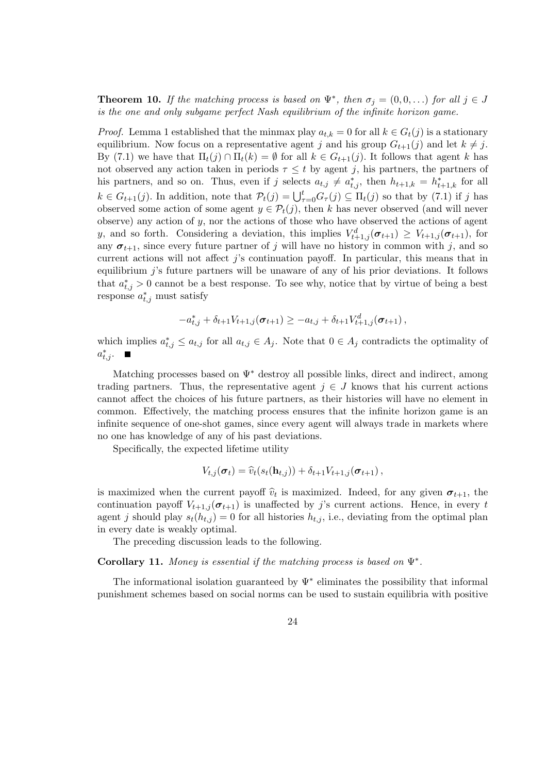**Theorem 10.** If the matching process is based on  $\Psi^*$ , then  $\sigma_j = (0, 0, ...)$  for all  $j \in J$ is the one and only subgame perfect Nash equilibrium of the infinite horizon game.

*Proof.* Lemma 1 established that the minmax play  $a_{t,k} = 0$  for all  $k \in G_t(j)$  is a stationary equilibrium. Now focus on a representative agent j and his group  $G_{t+1}(j)$  and let  $k \neq j$ . By (7.1) we have that  $\Pi_t(j) \cap \Pi_t(k) = \emptyset$  for all  $k \in G_{t+1}(j)$ . It follows that agent k has not observed any action taken in periods  $\tau \leq t$  by agent j, his partners, the partners of his partners, and so on. Thus, even if j selects  $a_{t,j} \neq a_{t,j}^*$ , then  $h_{t+1,k} = h_{t+1,k}^*$  for all  $k \in G_{t+1}(j)$ . In addition, note that  $\mathcal{P}_t(j) = \bigcup_{\tau=0}^t G_\tau(j) \subseteq \Pi_t(j)$  so that by  $(7.1)$  if j has observed some action of some agent  $y \in \mathcal{P}_t(j)$ , then k has never observed (and will never observe) any action of y, nor the actions of those who have observed the actions of agent y, and so forth. Considering a deviation, this implies  $V_{t+1,j}^d(\sigma_{t+1}) \geq V_{t+1,j}(\sigma_{t+1})$ , for any  $\sigma_{t+1}$ , since every future partner of j will have no history in common with j, and so current actions will not affect  $j$ 's continuation payoff. In particular, this means that in equilibrium j's future partners will be unaware of any of his prior deviations. It follows that  $a_{t,j}^* > 0$  cannot be a best response. To see why, notice that by virtue of being a best response  $a_{t,j}^*$  must satisfy

$$
-a_{t,j}^* + \delta_{t+1} V_{t+1,j}(\sigma_{t+1}) \geq -a_{t,j} + \delta_{t+1} V_{t+1,j}^d(\sigma_{t+1}),
$$

which implies  $a_{t,j}^* \leq a_{t,j}$  for all  $a_{t,j} \in A_j$ . Note that  $0 \in A_j$  contradicts the optimality of  $a_{t,j}^*$ .

Matching processes based on  $\Psi^*$  destroy all possible links, direct and indirect, among trading partners. Thus, the representative agent  $j \in J$  knows that his current actions cannot affect the choices of his future partners, as their histories will have no element in common. Effectively, the matching process ensures that the infinite horizon game is an infinite sequence of one-shot games, since every agent will always trade in markets where no one has knowledge of any of his past deviations.

Specifically, the expected lifetime utility

$$
V_{t,j}(\boldsymbol{\sigma}_t) = \widehat{v}_t(s_t(\mathbf{h}_{t,j})) + \delta_{t+1} V_{t+1,j}(\boldsymbol{\sigma}_{t+1}),
$$

is maximized when the current payoff  $\hat{v}_t$  is maximized. Indeed, for any given  $\sigma_{t+1}$ , the continuation payoff  $V_{t+1,j}(\sigma_{t+1})$  is unaffected by j's current actions. Hence, in every t agent j should play  $s_t(h_{t,j}) = 0$  for all histories  $h_{t,j}$ , i.e., deviating from the optimal plan in every date is weakly optimal.

The preceding discussion leads to the following.

Corollary 11. Money is essential if the matching process is based on  $\Psi^*$ .

The informational isolation guaranteed by  $\Psi^*$  eliminates the possibility that informal punishment schemes based on social norms can be used to sustain equilibria with positive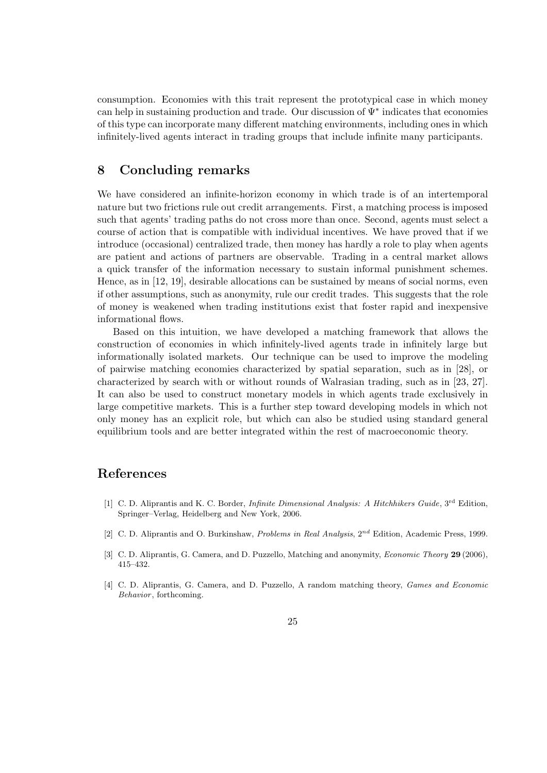consumption. Economies with this trait represent the prototypical case in which money can help in sustaining production and trade. Our discussion of Ψ<sup>∗</sup> indicates that economies of this type can incorporate many different matching environments, including ones in which infinitely-lived agents interact in trading groups that include infinite many participants.

## 8 Concluding remarks

We have considered an infinite-horizon economy in which trade is of an intertemporal nature but two frictions rule out credit arrangements. First, a matching process is imposed such that agents' trading paths do not cross more than once. Second, agents must select a course of action that is compatible with individual incentives. We have proved that if we introduce (occasional) centralized trade, then money has hardly a role to play when agents are patient and actions of partners are observable. Trading in a central market allows a quick transfer of the information necessary to sustain informal punishment schemes. Hence, as in [12, 19], desirable allocations can be sustained by means of social norms, even if other assumptions, such as anonymity, rule our credit trades. This suggests that the role of money is weakened when trading institutions exist that foster rapid and inexpensive informational flows.

Based on this intuition, we have developed a matching framework that allows the construction of economies in which infinitely-lived agents trade in infinitely large but informationally isolated markets. Our technique can be used to improve the modeling of pairwise matching economies characterized by spatial separation, such as in [28], or characterized by search with or without rounds of Walrasian trading, such as in [23, 27]. It can also be used to construct monetary models in which agents trade exclusively in large competitive markets. This is a further step toward developing models in which not only money has an explicit role, but which can also be studied using standard general equilibrium tools and are better integrated within the rest of macroeconomic theory.

## References

- [1] C. D. Aliprantis and K. C. Border, *Infinite Dimensional Analysis: A Hitchhikers Guide*, 3<sup>rd</sup> Edition, Springer–Verlag, Heidelberg and New York, 2006.
- [2] C. D. Aliprantis and O. Burkinshaw, *Problems in Real Analysis*,  $2^{nd}$  Edition, Academic Press, 1999.
- [3] C. D. Aliprantis, G. Camera, and D. Puzzello, Matching and anonymity, *Economic Theory* 29 (2006), 415–432.
- [4] C. D. Aliprantis, G. Camera, and D. Puzzello, A random matching theory, Games and Economic Behavior, forthcoming.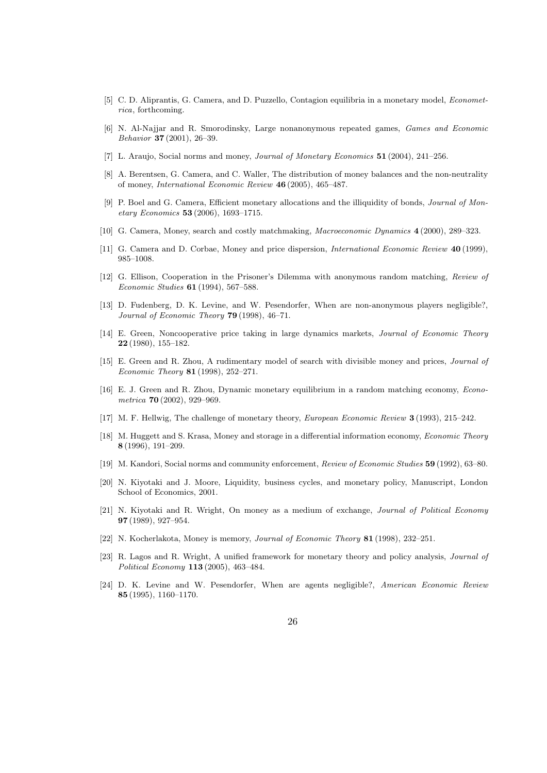- [5] C. D. Aliprantis, G. Camera, and D. Puzzello, Contagion equilibria in a monetary model, Econometrica, forthcoming.
- [6] N. Al-Najjar and R. Smorodinsky, Large nonanonymous repeated games, Games and Economic Behavior 37 (2001), 26–39.
- [7] L. Araujo, Social norms and money, Journal of Monetary Economics 51 (2004), 241–256.
- [8] A. Berentsen, G. Camera, and C. Waller, The distribution of money balances and the non-neutrality of money, International Economic Review 46 (2005), 465–487.
- [9] P. Boel and G. Camera, Efficient monetary allocations and the illiquidity of bonds, Journal of Monetary Economics 53 (2006), 1693–1715.
- [10] G. Camera, Money, search and costly matchmaking, Macroeconomic Dynamics 4 (2000), 289–323.
- [11] G. Camera and D. Corbae, Money and price dispersion, International Economic Review 40 (1999), 985–1008.
- [12] G. Ellison, Cooperation in the Prisoner's Dilemma with anonymous random matching, Review of Economic Studies 61 (1994), 567–588.
- [13] D. Fudenberg, D. K. Levine, and W. Pesendorfer, When are non-anonymous players negligible?, Journal of Economic Theory 79 (1998), 46–71.
- [14] E. Green, Noncooperative price taking in large dynamics markets, Journal of Economic Theory 22 (1980), 155–182.
- [15] E. Green and R. Zhou, A rudimentary model of search with divisible money and prices, Journal of Economic Theory 81 (1998), 252–271.
- [16] E. J. Green and R. Zhou, Dynamic monetary equilibrium in a random matching economy, Econometrica 70 (2002), 929–969.
- [17] M. F. Hellwig, The challenge of monetary theory, European Economic Review 3 (1993), 215–242.
- [18] M. Huggett and S. Krasa, Money and storage in a differential information economy, Economic Theory 8 (1996), 191–209.
- [19] M. Kandori, Social norms and community enforcement, Review of Economic Studies 59 (1992), 63–80.
- [20] N. Kiyotaki and J. Moore, Liquidity, business cycles, and monetary policy, Manuscript, London School of Economics, 2001.
- [21] N. Kiyotaki and R. Wright, On money as a medium of exchange, *Journal of Political Economy* 97 (1989), 927–954.
- [22] N. Kocherlakota, Money is memory, Journal of Economic Theory 81 (1998), 232–251.
- [23] R. Lagos and R. Wright, A unified framework for monetary theory and policy analysis, *Journal of* Political Economy 113 (2005), 463–484.
- [24] D. K. Levine and W. Pesendorfer, When are agents negligible?, American Economic Review 85 (1995), 1160–1170.